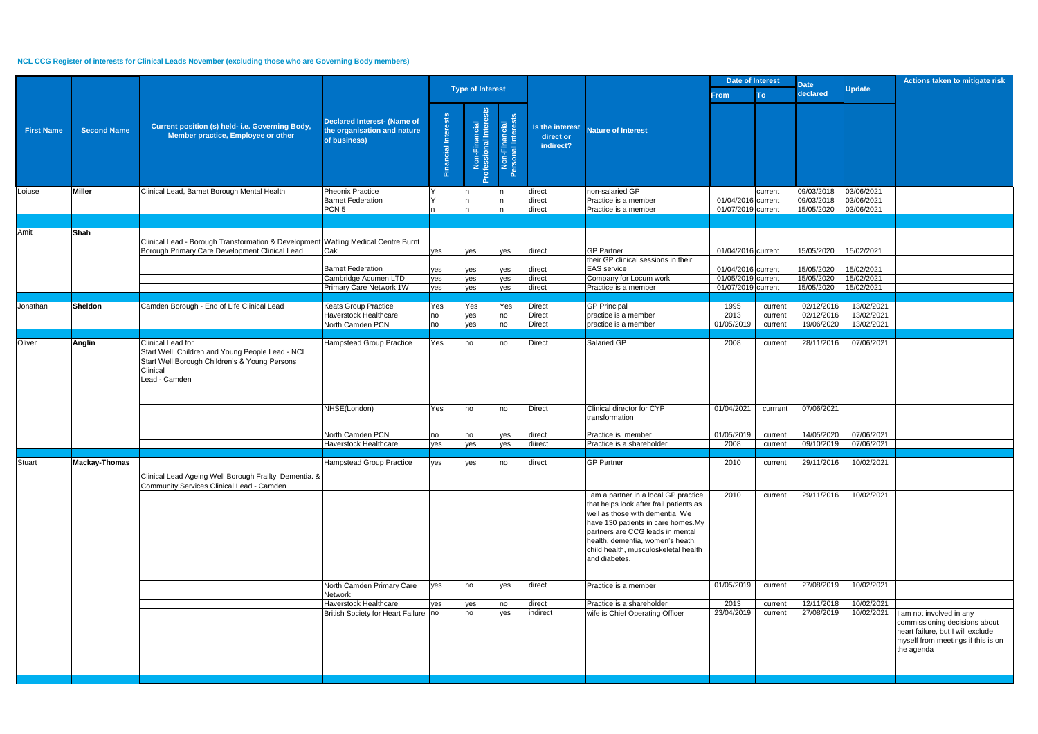## **NCL CCG Register of interests for Clinical Leads November (excluding those who are Governing Body members)**

|                   |                    |                                                                                                                                                     |                                                                                   |                            |                                        |                                     |                                           |                                                                                                                                                                                                                                                                                            | <b>Date of Interest</b>                  |                    | <b>Date</b>              |                          | Actions taken to mitigate risk                                                                                                                     |
|-------------------|--------------------|-----------------------------------------------------------------------------------------------------------------------------------------------------|-----------------------------------------------------------------------------------|----------------------------|----------------------------------------|-------------------------------------|-------------------------------------------|--------------------------------------------------------------------------------------------------------------------------------------------------------------------------------------------------------------------------------------------------------------------------------------------|------------------------------------------|--------------------|--------------------------|--------------------------|----------------------------------------------------------------------------------------------------------------------------------------------------|
|                   |                    |                                                                                                                                                     |                                                                                   |                            | <b>Type of Interest</b>                |                                     |                                           |                                                                                                                                                                                                                                                                                            | From                                     | <b>To</b>          | declared                 | <b>Update</b>            |                                                                                                                                                    |
| <b>First Name</b> | <b>Second Name</b> | Current position (s) held- i.e. Governing Body,<br>Member practice, Employee or other                                                               | <b>Declared Interest- (Name of</b><br>the organisation and nature<br>of business) | <b>Financial Interests</b> | Non-Financial<br>Professional Interest | Non-Financial<br>Personal Interests | Is the interest<br>direct or<br>indirect? | <b>Nature of Interest</b>                                                                                                                                                                                                                                                                  |                                          |                    |                          |                          |                                                                                                                                                    |
| Loiuse            | <b>Miller</b>      | Clinical Lead, Barnet Borough Mental Health                                                                                                         | Pheonix Practice                                                                  |                            |                                        |                                     | direct                                    | non-salaried GP                                                                                                                                                                                                                                                                            |                                          | current            | 09/03/2018               | 03/06/2021               |                                                                                                                                                    |
|                   |                    |                                                                                                                                                     | <b>Barnet Federation</b><br>PCN <sub>5</sub>                                      |                            |                                        | In                                  | direct<br>direct                          | Practice is a member<br>Practice is a member                                                                                                                                                                                                                                               | 01/04/2016 current<br>01/07/2019 current |                    | 09/03/2018<br>15/05/2020 | 03/06/2021<br>03/06/2021 |                                                                                                                                                    |
|                   |                    |                                                                                                                                                     |                                                                                   |                            |                                        |                                     |                                           |                                                                                                                                                                                                                                                                                            |                                          |                    |                          |                          |                                                                                                                                                    |
| Amit              | Shah               | Clinical Lead - Borough Transformation & Development Watling Medical Centre Burnt<br>Borough Primary Care Development Clinical Lead                 | Oak                                                                               | yes                        | yes                                    | yes                                 | direct                                    | <b>GP Partner</b><br>their GP clinical sessions in their                                                                                                                                                                                                                                   | 01/04/2016 current                       |                    | 15/05/2020               | 15/02/2021               |                                                                                                                                                    |
|                   |                    |                                                                                                                                                     | <b>Barnet Federation</b>                                                          | yes                        | yes                                    | yes                                 | direct                                    | <b>EAS</b> service                                                                                                                                                                                                                                                                         | 01/04/2016 current                       |                    | 15/05/2020               | 15/02/2021               |                                                                                                                                                    |
|                   |                    |                                                                                                                                                     | Cambridge Acumen LTD                                                              | yes                        | yes                                    | yes                                 | direct                                    | Company for Locum work                                                                                                                                                                                                                                                                     | 01/05/2019 current                       |                    | 15/05/2020               | 15/02/2021               |                                                                                                                                                    |
|                   |                    |                                                                                                                                                     | Primary Care Network 1W                                                           | yes                        | yes                                    | yes                                 | direct                                    | Practice is a member                                                                                                                                                                                                                                                                       | 01/07/2019 current                       |                    | 15/05/2020               | 15/02/2021               |                                                                                                                                                    |
| Jonathan          | <b>Sheldon</b>     | Camden Borough - End of Life Clinical Lead                                                                                                          | <b>Keats Group Practice</b>                                                       | Yes                        | Yes                                    | Yes                                 | <b>Direct</b>                             | <b>GP Principal</b>                                                                                                                                                                                                                                                                        | 1995                                     | current            | 02/12/2016               | 13/02/2021               |                                                                                                                                                    |
|                   |                    |                                                                                                                                                     | Haverstock Healthcare                                                             | no                         | yes                                    | no                                  | <b>Direct</b>                             | practice is a member                                                                                                                                                                                                                                                                       | 2013                                     | current            | 02/12/2016               | 13/02/2021               |                                                                                                                                                    |
|                   |                    |                                                                                                                                                     | North Camden PCN                                                                  | no                         | yes                                    | no                                  | <b>Direct</b>                             | practice is a member                                                                                                                                                                                                                                                                       | 01/05/2019                               | current            | 19/06/2020               | 13/02/2021               |                                                                                                                                                    |
|                   |                    |                                                                                                                                                     |                                                                                   |                            |                                        |                                     |                                           |                                                                                                                                                                                                                                                                                            |                                          |                    |                          |                          |                                                                                                                                                    |
| Oliver            | <b>Anglin</b>      | Clinical Lead for<br>Start Well: Children and Young People Lead - NCL<br>Start Well Borough Children's & Young Persons<br>Clinical<br>Lead - Camden | Hampstead Group Practice                                                          | Yes                        | no                                     | no                                  | <b>Direct</b>                             | Salaried GP                                                                                                                                                                                                                                                                                | 2008                                     | current            | 28/11/2016               | 07/06/2021               |                                                                                                                                                    |
|                   |                    |                                                                                                                                                     | NHSE(London)                                                                      | Yes                        | no                                     | no                                  | <b>Direct</b>                             | Clinical director for CYP<br>transformation                                                                                                                                                                                                                                                | 01/04/2021                               | currrent           | 07/06/2021               |                          |                                                                                                                                                    |
|                   |                    |                                                                                                                                                     | North Camden PCN                                                                  | no                         | no                                     | yes                                 | direct                                    | Practice is member                                                                                                                                                                                                                                                                         | 01/05/2019                               | current            | 14/05/2020               | 07/06/2021               |                                                                                                                                                    |
|                   |                    |                                                                                                                                                     | Haverstock Healthcare                                                             | yes                        | yes                                    | yes                                 | diirect                                   | Practice is a shareholder                                                                                                                                                                                                                                                                  | 2008                                     | current            | 09/10/2019               | 07/06/2021               |                                                                                                                                                    |
| Stuart            | Mackay-Thomas      | Clinical Lead Ageing Well Borough Frailty, Dementia. &<br>Community Services Clinical Lead - Camden                                                 | Hampstead Group Practice                                                          | ves                        | yes                                    | <b>no</b>                           | direct                                    | <b>GP Partner</b>                                                                                                                                                                                                                                                                          | 2010                                     | current            |                          | 29/11/2016 10/02/2021    |                                                                                                                                                    |
|                   |                    |                                                                                                                                                     |                                                                                   |                            |                                        |                                     |                                           | I am a partner in a local GP practice<br>that helps look after frail patients as<br>well as those with dementia. We<br>have 130 patients in care homes.My<br>partners are CCG leads in mental<br>health, dementia, women's heath,<br>child health, musculoskeletal health<br>and diabetes. | 2010                                     | current            | 29/11/2016               | 10/02/2021               |                                                                                                                                                    |
|                   |                    |                                                                                                                                                     | North Camden Primary Care<br>Network                                              | yes                        | no                                     | yes                                 | direct                                    | Practice is a member                                                                                                                                                                                                                                                                       | 01/05/2019                               | current            | 27/08/2019               | 10/02/2021               |                                                                                                                                                    |
|                   |                    |                                                                                                                                                     | Haverstock Healthcare<br>British Society for Heart Failure no                     | yes                        | yes<br>no                              | no<br>yes                           | direct<br>indirect                        | Practice is a shareholder<br>wife is Chief Operating Officer                                                                                                                                                                                                                               | 2013<br>23/04/2019                       | current<br>current | 12/11/2018<br>27/08/2019 | 10/02/2021<br>10/02/2021 | I am not involved in any<br>commissioning decisions about<br>heart failure, but I will exclude<br>myself from meetings if this is on<br>the agenda |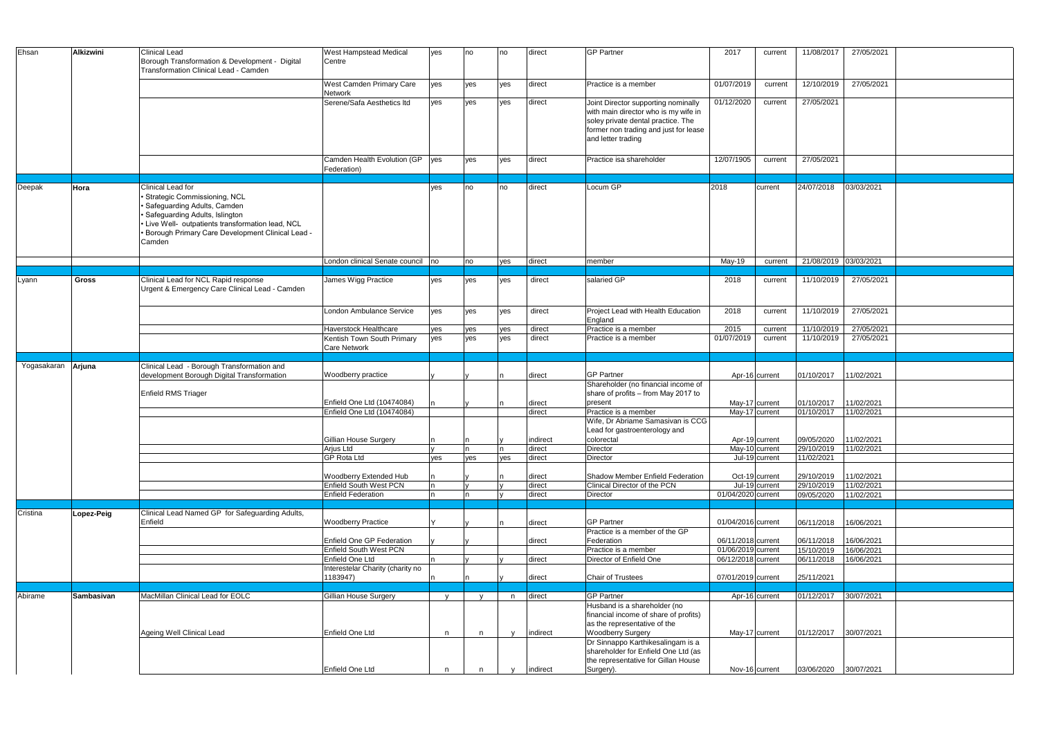| Ehsan                     | <b>Alkizwini</b> | <b>Clinical Lead</b>                               | <b>West Hampstead Medical</b>                       | yes | no  | no           | direct   | <b>GP Partner</b>                                                        | 2017               | current        | 11/08/2017            | 27/05/2021 |
|---------------------------|------------------|----------------------------------------------------|-----------------------------------------------------|-----|-----|--------------|----------|--------------------------------------------------------------------------|--------------------|----------------|-----------------------|------------|
|                           |                  | Borough Transformation & Development - Digital     | Centre                                              |     |     |              |          |                                                                          |                    |                |                       |            |
|                           |                  | Transformation Clinical Lead - Camden              |                                                     |     |     |              |          |                                                                          |                    |                |                       |            |
|                           |                  |                                                    | West Camden Primary Care                            | yes | yes | yes          | direct   | Practice is a member                                                     | 01/07/2019         | current        | 12/10/2019            | 27/05/2021 |
|                           |                  |                                                    | Network<br>Serene/Safa Aesthetics Itd               | yes | yes | yes          | direct   | Joint Director supporting nominally                                      | 01/12/2020         | current        | 27/05/2021            |            |
|                           |                  |                                                    |                                                     |     |     |              |          | with main director who is my wife in                                     |                    |                |                       |            |
|                           |                  |                                                    |                                                     |     |     |              |          | soley private dental practice. The                                       |                    |                |                       |            |
|                           |                  |                                                    |                                                     |     |     |              |          | former non trading and just for lease                                    |                    |                |                       |            |
|                           |                  |                                                    |                                                     |     |     |              |          | and letter trading                                                       |                    |                |                       |            |
|                           |                  |                                                    |                                                     |     |     |              |          |                                                                          |                    |                |                       |            |
|                           |                  |                                                    | Camden Health Evolution (GP                         | yes | ves | ves          | direct   | Practice is a shareholder                                                | 12/07/1905         | current        | 27/05/2021            |            |
|                           |                  |                                                    | Federation)                                         |     |     |              |          |                                                                          |                    |                |                       |            |
| Deepak                    | Hora             | Clinical Lead for                                  |                                                     | yes | no  | no           | direct   | Locum GP                                                                 | 2018               | current        | 24/07/2018            | 03/03/2021 |
|                           |                  | · Strategic Commissioning, NCL                     |                                                     |     |     |              |          |                                                                          |                    |                |                       |            |
|                           |                  | · Safeguarding Adults, Camden                      |                                                     |     |     |              |          |                                                                          |                    |                |                       |            |
|                           |                  | · Safeguarding Adults, Islington                   |                                                     |     |     |              |          |                                                                          |                    |                |                       |            |
|                           |                  | · Live Well- outpatients transformation lead, NCL  |                                                     |     |     |              |          |                                                                          |                    |                |                       |            |
|                           |                  | • Borough Primary Care Development Clinical Lead - |                                                     |     |     |              |          |                                                                          |                    |                |                       |            |
|                           |                  | Camden                                             |                                                     |     |     |              |          |                                                                          |                    |                |                       |            |
|                           |                  |                                                    | London clinical Senate council no                   |     | no  | yes          | direct   | member                                                                   | May-19             | current        | 21/08/2019 03/03/2021 |            |
|                           |                  |                                                    |                                                     |     |     |              |          |                                                                          |                    |                |                       |            |
| Lyann                     | Gross            | Clinical Lead for NCL Rapid response               | James Wigg Practice                                 | ves | ves | ves          | direct   | salaried GP                                                              | 2018               | current        | 11/10/2019            | 27/05/2021 |
|                           |                  | Urgent & Emergency Care Clinical Lead - Camden     |                                                     |     |     |              |          |                                                                          |                    |                |                       |            |
|                           |                  |                                                    |                                                     |     |     |              |          |                                                                          |                    |                |                       |            |
|                           |                  |                                                    | London Ambulance Service                            | ves | yes | yes          | direct   | Project Lead with Health Education                                       | 2018               | current        | 11/10/2019            | 27/05/2021 |
|                           |                  |                                                    |                                                     |     |     |              |          | England                                                                  |                    |                |                       |            |
|                           |                  |                                                    | Haverstock Healthcare                               | yes | yes | yes          | direct   | Practice is a member                                                     | 2015               | current        | 11/10/2019            | 27/05/2021 |
|                           |                  |                                                    | Kentish Town South Primary                          | yes | ves | yes          | direct   | Practice is a member                                                     | 01/07/2019         | current        | 11/10/2019            | 27/05/2021 |
|                           |                  |                                                    | <b>Care Network</b>                                 |     |     |              |          |                                                                          |                    |                |                       |            |
| Yogasakaran <b>Arjuna</b> |                  | Clinical Lead - Borough Transformation and         |                                                     |     |     |              |          |                                                                          |                    |                |                       |            |
|                           |                  | development Borough Digital Transformation         | Woodberry practice                                  |     |     |              | direct   | <b>GP Partner</b>                                                        |                    | Apr-16 current | 01/10/2017            | 11/02/2021 |
|                           |                  |                                                    |                                                     |     |     |              |          | Shareholder (no financial income of                                      |                    |                |                       |            |
|                           |                  | Enfield RMS Triager                                |                                                     |     |     |              |          | share of profits - from May 2017 to                                      |                    |                |                       |            |
|                           |                  |                                                    | Enfield One Ltd (10474084)                          |     |     |              | direct   | present                                                                  |                    | May-17 current | 01/10/2017            | 11/02/2021 |
|                           |                  |                                                    | Enfield One Ltd (10474084)                          |     |     |              | direct   | Practice is a member<br>Wife, Dr Abriame Samasivan is CCG                |                    | May-17 current | 01/10/2017            | 11/02/2021 |
|                           |                  |                                                    |                                                     |     |     |              |          | Lead for gastroenterology and                                            |                    |                |                       |            |
|                           |                  |                                                    | Gillian House Surgery                               | n   | In  |              | indirect | colorectal                                                               |                    | Apr-19 current | 09/05/2020            | 11/02/2021 |
|                           |                  |                                                    | <b>Arjus Ltd</b>                                    |     |     |              | direct   | Director                                                                 |                    | May-10 current | 29/10/2019            | 11/02/2021 |
|                           |                  |                                                    | <b>GP Rota Ltd</b>                                  | yes | yes | yes          | direct   | Director                                                                 |                    | Jul-19 current | 11/02/2021            |            |
|                           |                  |                                                    |                                                     |     |     |              |          |                                                                          |                    |                |                       |            |
|                           |                  |                                                    | Woodberry Extended Hub                              |     |     |              | direct   | Shadow Member Enfield Federation                                         |                    | Oct-19 current | 29/10/2019            | 11/02/2021 |
|                           |                  |                                                    | Enfield South West PCN                              |     |     |              | direct   | Clinical Director of the PCN                                             |                    | Jul-19 current | 29/10/2019            | 11/02/2021 |
|                           |                  |                                                    | <b>Enfield Federation</b>                           |     | n   |              | direct   | Director                                                                 | 01/04/2020 current |                | 09/05/2020            | 11/02/2021 |
| Cristina                  | Lopez-Peig       | Clinical Lead Named GP for Safeguarding Adults,    |                                                     |     |     |              |          |                                                                          |                    |                |                       |            |
|                           |                  | Enfield                                            | <b>Woodberry Practice</b>                           |     |     |              | direct   | <b>GP Partner</b>                                                        | 01/04/2016 current |                | 06/11/2018            | 16/06/2021 |
|                           |                  |                                                    |                                                     |     |     |              |          | Practice is a member of the GP                                           |                    |                |                       |            |
|                           |                  |                                                    | Enfield One GP Federation                           |     |     |              | direct   | Federation                                                               | 06/11/2018 current |                | 06/11/2018            | 16/06/2021 |
|                           |                  |                                                    | <b>Enfield South West PCN</b>                       |     |     |              |          | Practice is a member                                                     | 01/06/2019 current |                | 15/10/2019            | 16/06/2021 |
|                           |                  |                                                    | Enfield One Ltd<br>Interestelar Charity (charity no |     |     |              | direct   | Director of Enfield One                                                  | 06/12/2018 current |                | 06/11/2018            | 16/06/2021 |
|                           |                  |                                                    | 1183947)                                            |     |     |              | direct   | Chair of Trustees                                                        | 07/01/2019 current |                | 25/11/2021            |            |
|                           |                  |                                                    |                                                     |     |     |              |          |                                                                          |                    |                |                       |            |
| Abirame                   | Sambasivan       | MacMillan Clinical Lead for EOLC                   | Gillian House Surgery                               | V   |     | n            | direct   | <b>GP Partner</b>                                                        |                    | Apr-16 current | 01/12/2017            | 30/07/2021 |
|                           |                  |                                                    |                                                     |     |     |              |          | Husband is a shareholder (no                                             |                    |                |                       |            |
|                           |                  |                                                    |                                                     |     |     |              |          | financial income of share of profits)                                    |                    |                |                       |            |
|                           |                  |                                                    |                                                     |     |     |              |          | as the representative of the                                             |                    |                |                       |            |
|                           |                  | Ageing Well Clinical Lead                          | Enfield One Ltd                                     | n.  | n   | $\mathsf{v}$ | indirect | <b>Woodberry Surgery</b>                                                 |                    | May-17 current | 01/12/2017            | 30/07/2021 |
|                           |                  |                                                    |                                                     |     |     |              |          | Dr Sinnappo Karthikesalingam is a<br>shareholder for Enfield One Ltd (as |                    |                |                       |            |
|                           |                  |                                                    |                                                     |     |     |              |          | the representative for Gillan House                                      |                    |                |                       |            |
|                           |                  |                                                    | Enfield One Ltd                                     | n   | n   |              | indirect | Surgery).                                                                |                    | Nov-16 current | 03/06/2020 30/07/2021 |            |
|                           |                  |                                                    |                                                     |     |     |              |          |                                                                          |                    |                |                       |            |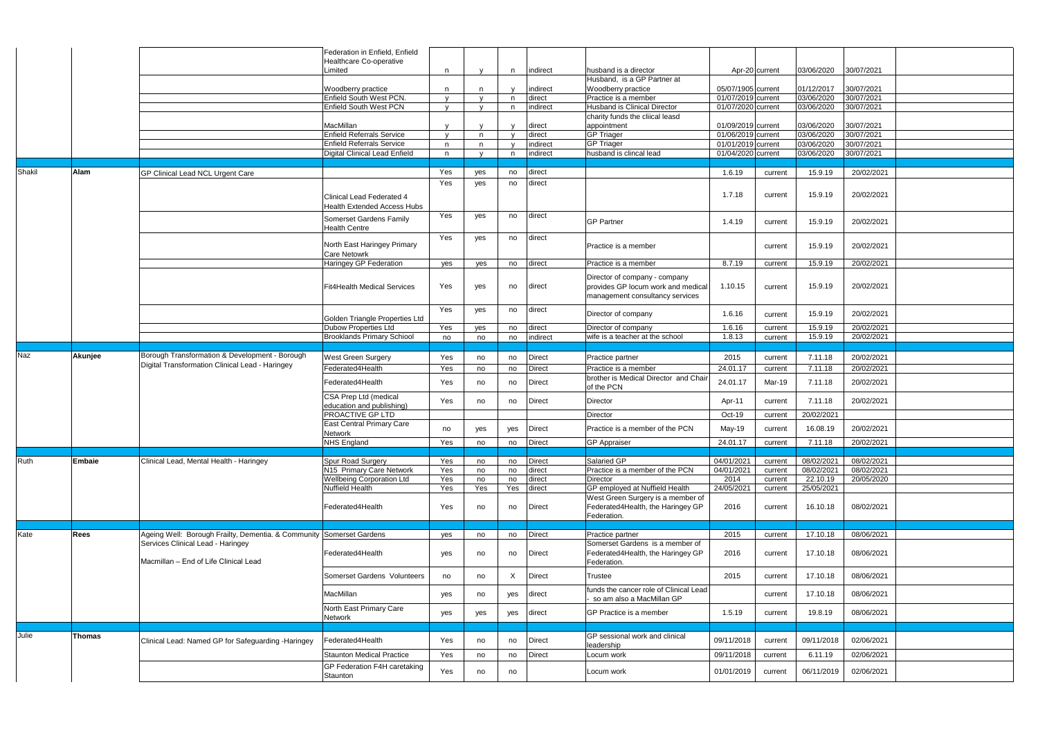|        |               |                                                                                                           | Federation in Enfield, Enfield                                  |              |              |              |                  |                                                     |                                          |         |                          |                          |  |
|--------|---------------|-----------------------------------------------------------------------------------------------------------|-----------------------------------------------------------------|--------------|--------------|--------------|------------------|-----------------------------------------------------|------------------------------------------|---------|--------------------------|--------------------------|--|
|        |               |                                                                                                           | Healthcare Co-operative                                         |              |              |              |                  |                                                     |                                          |         |                          |                          |  |
|        |               |                                                                                                           | ∟imited                                                         | n            |              | n.           | indirect         | husband is a director                               | Apr-20 current                           |         | 03/06/2020               | 30/07/2021               |  |
|        |               |                                                                                                           |                                                                 |              |              |              |                  | Husband, is a GP Partner at                         |                                          |         |                          |                          |  |
|        |               |                                                                                                           | Woodberry practice                                              | n            |              | $\mathbf{V}$ | indirect         | Woodberry practice                                  | 05/07/1905 current                       |         | 01/12/2017               | 30/07/2021               |  |
|        |               |                                                                                                           | Enfield South West PCN.                                         | $\mathbf{V}$ | $\mathbf{v}$ | n            | direct           | Practice is a member                                | 01/07/2019 current                       |         | 03/06/2020               | 30/07/2021               |  |
|        |               |                                                                                                           | <b>Enfield South West PCN</b>                                   | $\mathbf{v}$ |              | n            | indirect         | Husband is Clinical Director                        | 01/07/2020 current                       |         | 03/06/2020               | 30/07/2021               |  |
|        |               |                                                                                                           | MacMillan                                                       |              |              |              |                  | charity funds the cliical leasd                     |                                          |         |                          |                          |  |
|        |               |                                                                                                           | <b>Enfield Referrals Service</b>                                | $\mathbf{v}$ | n            |              | direct<br>direct | appointment<br><b>GP Triager</b>                    | 01/09/2019 current<br>01/06/2019 current |         | 03/06/2020<br>03/06/2020 | 30/07/2021<br>30/07/2021 |  |
|        |               |                                                                                                           | <b>Enfield Referrals Service</b>                                | n            | n            |              | indirect         | <b>GP Triager</b>                                   | 01/01/2019 current                       |         | 03/06/2020               | 30/07/2021               |  |
|        |               |                                                                                                           | Digital Clinical Lead Enfield                                   | n.           |              | n            | indirect         | husband is clincal lead                             | 01/04/2020 current                       |         | 03/06/2020               | 30/07/2021               |  |
|        |               |                                                                                                           |                                                                 |              |              |              |                  |                                                     |                                          |         |                          |                          |  |
| Shakil | Alam          | GP Clinical Lead NCL Urgent Care                                                                          |                                                                 | Yes          | yes          | no           | direct           |                                                     | 1.6.19                                   | current | 15.9.19                  | 20/02/2021               |  |
|        |               |                                                                                                           |                                                                 | Yes          | yes          | no           | direct           |                                                     |                                          |         |                          |                          |  |
|        |               |                                                                                                           | Clinical Lead Federated 4<br><b>Health Extended Access Hubs</b> |              |              |              |                  |                                                     | 1.7.18                                   | current | 15.9.19                  | 20/02/2021               |  |
|        |               |                                                                                                           |                                                                 | Yes          | yes          | no           | direct           |                                                     |                                          |         |                          |                          |  |
|        |               |                                                                                                           | Somerset Gardens Family<br><b>Health Centre</b>                 |              |              |              |                  | <b>GP Partner</b>                                   | 1.4.19                                   | current | 15.9.19                  | 20/02/2021               |  |
|        |               |                                                                                                           | North East Haringey Primary                                     | Yes          | yes          | no           | direct           | Practice is a member                                |                                          |         | 15.9.19                  | 20/02/2021               |  |
|        |               |                                                                                                           | <b>Care Netowrk</b>                                             |              |              |              |                  |                                                     |                                          | current |                          |                          |  |
|        |               |                                                                                                           | Haringey GP Federation                                          | yes          | yes          | no           | direct           | Practice is a member                                | 8.7.19                                   | current | 15.9.19                  | 20/02/2021               |  |
|        |               |                                                                                                           |                                                                 |              |              |              |                  | Director of company - company                       |                                          |         |                          |                          |  |
|        |               |                                                                                                           | Fit4Health Medical Services                                     | Yes          | yes          | no           | direct           | provides GP locum work and medical                  | 1.10.15                                  | current | 15.9.19                  | 20/02/2021               |  |
|        |               |                                                                                                           |                                                                 |              |              |              |                  | management consultancy services                     |                                          |         |                          |                          |  |
|        |               |                                                                                                           |                                                                 |              |              |              |                  |                                                     |                                          |         |                          |                          |  |
|        |               |                                                                                                           | Golden Triangle Properties Ltd                                  | Yes          | yes          | no           | direct           | Director of company                                 | 1.6.16                                   | current | 15.9.19                  | 20/02/2021               |  |
|        |               |                                                                                                           | <b>Dubow Properties Ltd</b>                                     | Yes          | yes          | no           | direct           | Director of company                                 | 1.6.16                                   | current | 15.9.19                  | 20/02/2021               |  |
|        |               |                                                                                                           | <b>Brooklands Primary Schiool</b>                               | no           | no           | no           | indirect         | wife is a teacher at the school                     | 1.8.13                                   | current | 15.9.19                  | 20/02/2021               |  |
|        |               |                                                                                                           |                                                                 |              |              |              |                  |                                                     |                                          |         |                          |                          |  |
| Naz    | Akunjee       | Borough Transformation & Development - Borough                                                            | West Green Surgery                                              | Yes          | no           | no           | <b>Direct</b>    | Practice partner                                    | 2015                                     | current | 7.11.18                  | 20/02/2021               |  |
|        |               | Digital Transformation Clinical Lead - Haringey                                                           | Federated4Health                                                | Yes          | no           | no           | <b>Direct</b>    | Practice is a member                                | 24.01.17                                 | current | 7.11.18                  | 20/02/2021               |  |
|        |               |                                                                                                           |                                                                 |              |              |              |                  |                                                     |                                          |         |                          |                          |  |
|        |               |                                                                                                           |                                                                 |              |              |              |                  | brother is Medical Director and Chair               |                                          |         |                          |                          |  |
|        |               |                                                                                                           | Federated4Health                                                | Yes          | no           | no           | <b>Direct</b>    | of the PCN                                          | 24.01.17                                 | Mar-19  | 7.11.18                  | 20/02/2021               |  |
|        |               |                                                                                                           | CSA Prep Ltd (medical                                           |              |              |              |                  |                                                     |                                          |         |                          |                          |  |
|        |               |                                                                                                           | education and publishing)                                       | Yes          | no           | no           | <b>Direct</b>    | Director                                            | Apr-11                                   | current | 7.11.18                  | 20/02/2021               |  |
|        |               |                                                                                                           | PROACTIVE GP LTD                                                |              |              |              |                  | Director                                            | Oct-19                                   | current | 20/02/2021               |                          |  |
|        |               |                                                                                                           | <b>East Central Primary Care</b>                                | no           | yes          | yes          | <b>Direct</b>    | Practice is a member of the PCN                     | May-19                                   | current | 16.08.19                 | 20/02/2021               |  |
|        |               |                                                                                                           | Network                                                         |              |              |              |                  |                                                     |                                          |         |                          |                          |  |
|        |               |                                                                                                           | <b>NHS England</b>                                              | Yes          | no           | no           | Direct           | <b>GP Appraiser</b>                                 | 24.01.17                                 | current | 7.11.18                  | 20/02/2021               |  |
| Ruth   | <b>Embaie</b> | Clinical Lead, Mental Health - Haringey                                                                   | Spur Road Surgery                                               | Yes          | no           | no           | <b>Direct</b>    | Salaried GP                                         | 04/01/2021                               | current | 08/02/2021               | 08/02/2021               |  |
|        |               |                                                                                                           | N15 Primary Care Network                                        | Yes          | no           | no           | direct           | Practice is a member of the PCN                     | 04/01/2021                               | current | 08/02/2021               | 08/02/2021               |  |
|        |               |                                                                                                           | <b>Wellbeing Corporation Ltd</b>                                | Yes          | no           | no           | direct           | Director                                            | 2014                                     | current | 22.10.19                 | 20/05/2020               |  |
|        |               |                                                                                                           | <b>Nuffield Health</b>                                          | Yes          | Yes          | Yes          | direct           | GP employed at Nuffield Health                      | 24/05/2021                               | current | 25/05/2021               |                          |  |
|        |               |                                                                                                           |                                                                 |              |              |              |                  | West Green Surgery is a member of                   |                                          |         |                          |                          |  |
|        |               |                                                                                                           | Federated4Health                                                | Yes          | no           | no           | <b>Direct</b>    | Federated4Health, the Haringey GP                   | 2016                                     | current | 16.10.18                 | 08/02/2021               |  |
|        |               |                                                                                                           |                                                                 |              |              |              |                  | Federation.                                         |                                          |         |                          |                          |  |
|        |               |                                                                                                           |                                                                 |              |              |              |                  |                                                     |                                          |         |                          |                          |  |
| Kate   | <b>Rees</b>   | Ageing Well: Borough Frailty, Dementia. & Community Somerset Gardens<br>Services Clinical Lead - Haringey |                                                                 | yes          | no           | no           | <b>Direct</b>    | Practice partner<br>Somerset Gardens is a member of | 2015                                     | current | 17.10.18                 | 08/06/2021               |  |
|        |               |                                                                                                           | Federated4Health                                                | yes          | no           | no           | <b>Direct</b>    | Federated4Health, the Haringey GP                   | 2016                                     | current | 17.10.18                 | 08/06/2021               |  |
|        |               | Macmillan - End of Life Clinical Lead                                                                     |                                                                 |              |              |              |                  | Federation.                                         |                                          |         |                          |                          |  |
|        |               |                                                                                                           |                                                                 |              |              |              |                  |                                                     |                                          |         |                          |                          |  |
|        |               |                                                                                                           | Somerset Gardens Volunteers                                     | no           | no           | X            | <b>Direct</b>    | Trustee                                             | 2015                                     | current | 17.10.18                 | 08/06/2021               |  |
|        |               |                                                                                                           | <b>MacMillan</b>                                                | yes          | no           | yes          | direct           | funds the cancer role of Clinical Lead              |                                          | current | 17.10.18                 | 08/06/2021               |  |
|        |               |                                                                                                           |                                                                 |              |              |              |                  | so am also a MacMillan GP                           |                                          |         |                          |                          |  |
|        |               |                                                                                                           | North East Primary Care                                         | yes          | yes          | yes          | direct           | GP Practice is a member                             | 1.5.19                                   | current | 19.8.19                  | 08/06/2021               |  |
|        |               |                                                                                                           | Network                                                         |              |              |              |                  |                                                     |                                          |         |                          |                          |  |
| Julie  | <b>Thomas</b> |                                                                                                           |                                                                 |              |              |              |                  | GP sessional work and clinical                      |                                          |         |                          |                          |  |
|        |               | Clinical Lead: Named GP for Safeguarding -Haringey                                                        | Federated4Health                                                | Yes          | no           | no           | <b>Direct</b>    | leadership                                          | 09/11/2018                               | current | 09/11/2018               | 02/06/2021               |  |
|        |               |                                                                                                           | <b>Staunton Medical Practice</b>                                | Yes          | no           | no           | <b>Direct</b>    | Locum work                                          | 09/11/2018                               | current | 6.11.19                  | 02/06/2021               |  |
|        |               |                                                                                                           | GP Federation F4H caretaking                                    | Yes          | no           | no           |                  | Locum work                                          | 01/01/2019                               | current | 06/11/2019               | 02/06/2021               |  |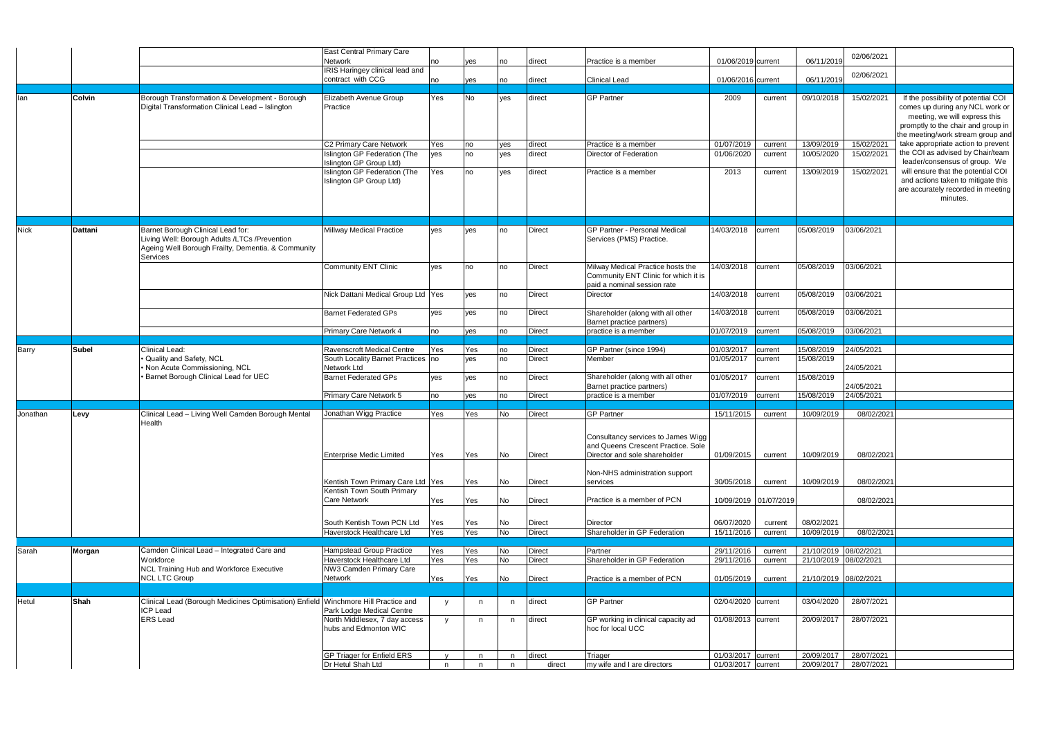|             |                |                                                                                                                                                      | East Central Primary Care<br>Network                                               |              |     |     |               |                                                                                                          |                          |         |                       | 02/06/2021            |                                                                                                                                                                                    |
|-------------|----------------|------------------------------------------------------------------------------------------------------------------------------------------------------|------------------------------------------------------------------------------------|--------------|-----|-----|---------------|----------------------------------------------------------------------------------------------------------|--------------------------|---------|-----------------------|-----------------------|------------------------------------------------------------------------------------------------------------------------------------------------------------------------------------|
|             |                |                                                                                                                                                      | <b>IRIS Haringey clinical lead and</b>                                             | no           | yes | no  | direct        | Practice is a member                                                                                     | 01/06/2019 current       |         | 06/11/2019            |                       |                                                                                                                                                                                    |
|             |                |                                                                                                                                                      | contract with CCG                                                                  | no           | yes | no  | direct        | <b>Clinical Lead</b>                                                                                     | 01/06/2016 current       |         | 06/11/2019            | 02/06/2021            |                                                                                                                                                                                    |
|             |                |                                                                                                                                                      |                                                                                    |              |     |     |               |                                                                                                          |                          |         |                       |                       |                                                                                                                                                                                    |
| lan         | <b>Colvin</b>  | Borough Transformation & Development - Borough<br>Digital Transformation Clinical Lead - Islington                                                   | Elizabeth Avenue Group<br>Practice                                                 | Yes          | No  | yes | direct        | <b>GP Partner</b>                                                                                        | 2009                     | current | 09/10/2018            | 15/02/2021            | If the possibility of potential COI<br>comes up during any NCL work or<br>meeting, we will express this<br>promptly to the chair and group in<br>the meeting/work stream group and |
|             |                |                                                                                                                                                      | C2 Primary Care Network                                                            | Yes          | no  | yes | direct        | Practice is a member                                                                                     | 01/07/2019               | current | 13/09/2019            | 15/02/2021            | take appropriate action to prevent                                                                                                                                                 |
|             |                |                                                                                                                                                      | Islington GP Federation (The                                                       | yes          | no  | yes | direct        | Director of Federation                                                                                   | 01/06/2020               | current | 10/05/2020            | 15/02/2021            | the COI as advised by Chair/team                                                                                                                                                   |
|             |                |                                                                                                                                                      | Islington GP Group Ltd)<br>Islington GP Federation (The<br>Islington GP Group Ltd) | Yes          | no  | yes | direct        | Practice is a member                                                                                     | 2013                     | current | 13/09/2019            | 15/02/2021            | leader/consensus of group. We<br>will ensure that the potential COI<br>and actions taken to mitigate this<br>are accurately recorded in meeting                                    |
|             |                |                                                                                                                                                      |                                                                                    |              |     |     |               |                                                                                                          |                          |         |                       |                       | minutes.                                                                                                                                                                           |
| <b>Nick</b> | <b>Dattani</b> | Barnet Borough Clinical Lead for:<br>Living Well: Borough Adults /LTCs /Prevention<br>Ageing Well Borough Frailty, Dementia. & Community<br>Services | Millway Medical Practice                                                           | yes          | yes | no  | <b>Direct</b> | GP Partner - Personal Medical<br>Services (PMS) Practice.                                                | 14/03/2018               | current | 05/08/2019            | 03/06/2021            |                                                                                                                                                                                    |
|             |                |                                                                                                                                                      | Community ENT Clinic                                                               | yes          | no  | no  | <b>Direct</b> | Milway Medical Practice hosts the<br>Community ENT Clinic for which it is<br>paid a nominal session rate | 14/03/2018               | current | 05/08/2019            | 03/06/2021            |                                                                                                                                                                                    |
|             |                |                                                                                                                                                      | Nick Dattani Medical Group Ltd Yes                                                 |              | ves | no  | <b>Direct</b> | Director                                                                                                 | 14/03/2018               | current | 05/08/2019            | 03/06/2021            |                                                                                                                                                                                    |
|             |                |                                                                                                                                                      | <b>Barnet Federated GPs</b>                                                        | ves          | yes | no  | <b>Direct</b> | Shareholder (along with all other<br>Barnet practice partners)                                           | 14/03/2018               | current | 05/08/2019            | 03/06/2021            |                                                                                                                                                                                    |
|             |                |                                                                                                                                                      | Primary Care Network 4                                                             | no           | yes | no  | <b>Direct</b> | practice is a member                                                                                     | 01/07/2019               | current | 05/08/2019            | 03/06/2021            |                                                                                                                                                                                    |
| Barry       | <b>Subel</b>   | Clinical Lead:                                                                                                                                       | Ravenscroft Medical Centre                                                         | Yes          | Yes | no  | <b>Direct</b> | GP Partner (since 1994)                                                                                  | 01/03/2017               | current | 15/08/2019            | 24/05/2021            |                                                                                                                                                                                    |
|             |                | · Quality and Safety, NCL<br>Non Acute Commissioning, NCL                                                                                            | South Locality Barnet Practices   no<br>Network Ltd                                |              | ves | no  | <b>Direct</b> | Member                                                                                                   | 01/05/2017               | current | 15/08/2019            | 24/05/2021            |                                                                                                                                                                                    |
|             |                | · Barnet Borough Clinical Lead for UEC                                                                                                               | <b>Barnet Federated GPs</b>                                                        | yes          | yes | no  | Direct        | Shareholder (along with all other<br>Barnet practice partners)                                           | 01/05/2017               | current | 15/08/2019            | 24/05/2021            |                                                                                                                                                                                    |
|             |                |                                                                                                                                                      | Primary Care Network 5                                                             | no           | yes | no  | <b>Direct</b> | practice is a member                                                                                     | 01/07/2019               | current | 15/08/2019            | 24/05/2021            |                                                                                                                                                                                    |
| Jonathan    | Levy           | Clinical Lead - Living Well Camden Borough Mental                                                                                                    | Jonathan Wigg Practice                                                             | Yes          | Yes | No  | <b>Direct</b> | <b>GP Partner</b>                                                                                        | 15/11/2015               | current | 10/09/2019            | 08/02/2021            |                                                                                                                                                                                    |
|             |                | Health                                                                                                                                               |                                                                                    |              |     |     |               | Consultancy services to James Wigg<br>and Queens Crescent Practice. Sole                                 |                          |         |                       |                       |                                                                                                                                                                                    |
|             |                |                                                                                                                                                      | <b>Enterprise Medic Limited</b>                                                    | Yes          | Yes | No  | Direct        | Director and sole shareholder                                                                            | 01/09/2015               | current | 10/09/2019            | 08/02/2021            |                                                                                                                                                                                    |
|             |                |                                                                                                                                                      | Kentish Town Primary Care Ltd Yes                                                  |              | Yes | No  | Direct        | Non-NHS administration support<br>services                                                               | 30/05/2018               | current | 10/09/2019            | 08/02/2021            |                                                                                                                                                                                    |
|             |                |                                                                                                                                                      | Kentish Town South Primary<br><b>Care Network</b>                                  | Yes          | Yes | No  | <b>Direct</b> | Practice is a member of PCN                                                                              | 10/09/2019 01/07/2019    |         |                       | 08/02/2021            |                                                                                                                                                                                    |
|             |                |                                                                                                                                                      | South Kentish Town PCN Ltd                                                         | Yes          | Yes | No  | Direct        | Director                                                                                                 | 06/07/2020               | current | 08/02/2021            |                       |                                                                                                                                                                                    |
|             |                |                                                                                                                                                      | Haverstock Healthcare Ltd                                                          | Yes          | Yes | No  | <b>Direct</b> | Shareholder in GP Federation                                                                             | 15/11/2016               | current | 10/09/2019            | 08/02/2021            |                                                                                                                                                                                    |
|             |                |                                                                                                                                                      |                                                                                    |              |     |     |               |                                                                                                          |                          |         |                       |                       |                                                                                                                                                                                    |
| Sarah       | Morgan         | Camden Clinical Lead - Integrated Care and                                                                                                           | Hampstead Group Practice<br>Haverstock Healthcare Ltd                              | Yes          | Yes | No  | <b>Direct</b> | Partner<br>Shareholder in GP Federation                                                                  | 29/11/2016<br>29/11/2016 | current | 21/10/2019 08/02/2021 |                       |                                                                                                                                                                                    |
|             |                | Workforce<br>NCL Training Hub and Workforce Executive<br><b>NCL LTC Group</b>                                                                        | NW3 Camden Primary Care<br>Network                                                 | Yes          | Yes | No  | <b>Direct</b> |                                                                                                          |                          | current | 21/10/2019 08/02/2021 |                       |                                                                                                                                                                                    |
|             |                |                                                                                                                                                      |                                                                                    | Yes          | Yes | No  | <b>Direct</b> | Practice is a member of PCN                                                                              | 01/05/2019               | current | 21/10/2019 08/02/2021 |                       |                                                                                                                                                                                    |
| Hetul       | Shah           | Clinical Lead (Borough Medicines Optimisation) Enfield Winchmore Hill Practice and<br><b>ICP Lead</b>                                                | Park Lodge Medical Centre                                                          | <b>V</b>     | n.  | n   | direct        | <b>GP Partner</b>                                                                                        | 02/04/2020 current       |         | 03/04/2020            | 28/07/2021            |                                                                                                                                                                                    |
|             |                | <b>ERS</b> Lead                                                                                                                                      | North Middlesex, 7 day access<br>hubs and Edmonton WIC                             | V            | n   | n   | direct        | GP working in clinical capacity ad<br>hoc for local UCC                                                  | 01/08/2013 current       |         | 20/09/2017            | 28/07/2021            |                                                                                                                                                                                    |
|             |                |                                                                                                                                                      | GP Triager for Enfield ERS                                                         | $\mathsf{v}$ | n   | n   | direct        | Triager                                                                                                  | 01/03/2017 current       |         | 20/09/2017            | 28/07/2021            |                                                                                                                                                                                    |
|             |                |                                                                                                                                                      | Dr Hetul Shah Ltd                                                                  | n            | n.  | n.  | direct        | my wife and I are directors                                                                              | 01/03/2017 current       |         |                       | 20/09/2017 28/07/2021 |                                                                                                                                                                                    |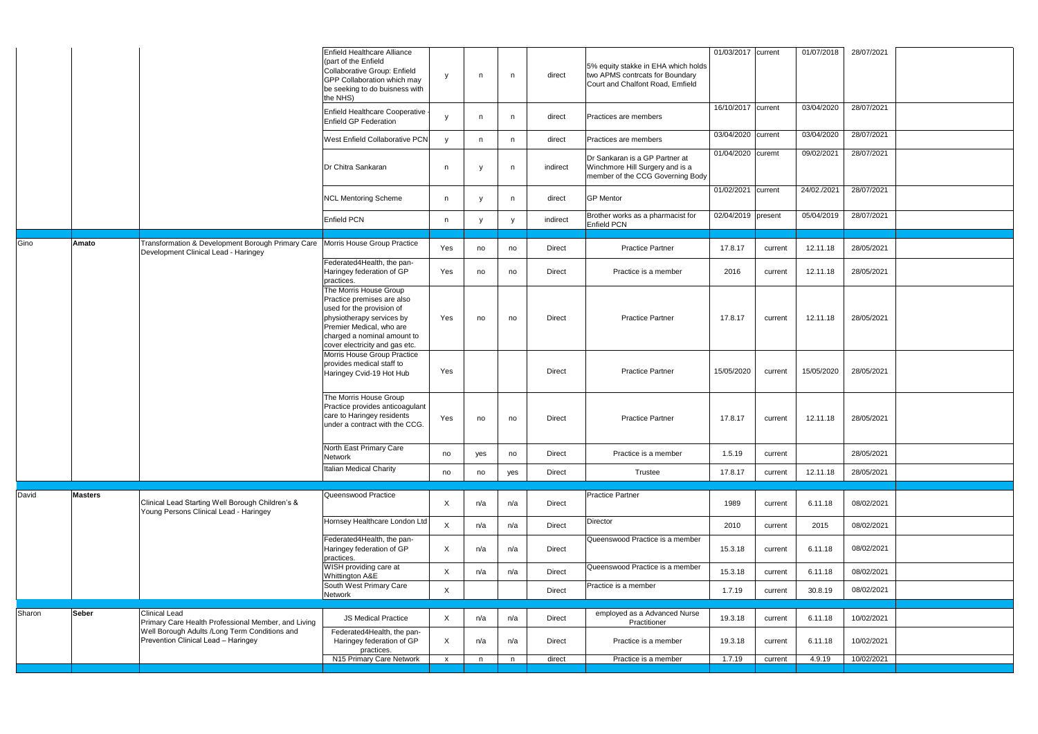| 16/10/2017 current<br>03/04/2020<br>28/07/2021<br>Enfield Healthcare Cooperative<br>direct<br>Practices are members<br><sup>V</sup><br>n<br>n<br>Enfield GP Federation<br>03/04/2020 current<br>03/04/2020<br>28/07/2021<br><b>West Enfield Collaborative PCN</b><br>direct<br>Practices are members<br><b>y</b><br>n<br>n.<br>01/04/2020 curemt<br>09/02/2021<br>28/07/2021<br>Dr Sankaran is a GP Partner at<br>Dr Chitra Sankaran<br>Winchmore Hill Surgery and is a<br>indirect<br>n<br>n<br>member of the CCG Governing Body<br>01/02/2021 current<br>28/07/2021<br>24/02./2021<br><b>GP</b> Mentor<br><b>NCL Mentoring Scheme</b><br>direct<br>n<br>n<br>28/07/2021<br>02/04/2019 present<br>05/04/2019<br>Brother works as a pharmacist for<br>Enfield PCN<br>indirect<br>n<br>y<br>Enfield PCN<br>Transformation & Development Borough Primary Care   Morris House Group Practice<br>Amato<br>Yes<br><b>Practice Partner</b><br>17.8.17<br>12.11.18<br>28/05/2021<br><b>Direct</b><br>no<br>current<br>no<br>Development Clinical Lead - Haringey<br>Federated4Health, the pan-<br>Haringey federation of GP<br>Yes<br>2016<br>12.11.18<br>28/05/2021<br><b>Direct</b><br>Practice is a member<br>no<br>current<br>no<br>practices.<br>The Morris House Group<br>Practice premises are also<br>used for the provision of<br>physiotherapy services by<br>Yes<br><b>Practice Partner</b><br>17.8.17<br>28/05/2021<br><b>Direct</b><br>12.11.18<br>no<br>current<br>no<br>Premier Medical, who are<br>charged a nominal amount to<br>cover electricity and gas etc.<br>Morris House Group Practice<br>provides medical staff to<br>15/05/2020<br>15/05/2020<br>28/05/2021<br>Yes<br><b>Direct</b><br><b>Practice Partner</b><br>current<br>Haringey Cvid-19 Hot Hub<br>The Morris House Group<br>Practice provides anticoagulant<br>care to Haringey residents<br>Yes<br><b>Practice Partner</b><br>17.8.17<br>12.11.18<br>28/05/2021<br>Direct<br>no<br>no<br>current<br>under a contract with the CCG.<br>North East Primary Care<br>28/05/2021<br>1.5.19<br>Direct<br>Practice is a member<br>no<br>no<br>current<br>yes<br>Network<br>Italian Medical Charity<br>17.8.17<br>12.11.18<br>28/05/2021<br>Direct<br>Trustee<br>no<br>yes<br>current<br>no<br><b>Masters</b><br>Queenswood Practice<br><b>Practice Partner</b><br>Clinical Lead Starting Well Borough Children's &<br>$\mathsf{X}$<br>1989<br>08/02/2021<br>n/a<br>6.11.18<br>Direct<br>n/a<br>current<br>Young Persons Clinical Lead - Haringey<br>Hornsey Healthcare London Ltd<br>Director<br>$\mathsf{X}$<br>n/a<br>2010<br>2015<br>08/02/2021<br>n/a<br>Direct<br>current<br>Federated4Health, the pan-<br>Queenswood Practice is a member<br>$\mathsf X$<br>08/02/2021<br>Haringey federation of GP<br>n/a<br>Direct<br>15.3.18<br>6.11.18<br>n/a<br>current<br>practices.<br>WISH providing care at<br>Queenswood Practice is a member<br>$\mathsf X$<br>08/02/2021<br>15.3.18<br>6.11.18<br>n/a<br>n/a<br>Direct<br>current<br>Whittington A&E<br>South West Primary Care<br>Practice is a member<br>$\mathsf X$<br>30.8.19<br>08/02/2021<br>1.7.19<br>Direct<br>current<br>Network<br><b>Seber</b><br><b>Clinical Lead</b><br>employed as a Advanced Nurse<br>$\mathsf{X}$<br>19.3.18<br>6.11.18<br>10/02/2021<br><b>JS Medical Practice</b><br>n/a<br>Direct<br>n/a<br>current<br>Primary Care Health Professional Member, and Living<br>Practitioner<br>Well Borough Adults /Long Term Conditions and<br>Federated4Health, the pan-<br>Prevention Clinical Lead - Haringey<br>X<br>19.3.18<br>10/02/2021<br>Haringey federation of GP<br>n/a<br>Direct<br>Practice is a member<br>6.11.18<br>n/a<br>current<br>practices.<br>1.7.19<br>4.9.19<br>10/02/2021<br>direct<br>Practice is a member<br>current<br>$\mathsf{X}$<br>n<br>n |        |  | Enfield Healthcare Alliance<br>(part of the Enfield<br>Collaborative Group: Enfield<br>GPP Collaboration which may<br>be seeking to do buisness with<br>the NHS) | y | n | n | direct | 5% equity stakke in EHA which holds<br>two APMS contrcats for Boundary<br>Court and Chalfont Road, Emfield | 01/03/2017 current | 01/07/2018 | 28/07/2021 |  |
|--------------------------------------------------------------------------------------------------------------------------------------------------------------------------------------------------------------------------------------------------------------------------------------------------------------------------------------------------------------------------------------------------------------------------------------------------------------------------------------------------------------------------------------------------------------------------------------------------------------------------------------------------------------------------------------------------------------------------------------------------------------------------------------------------------------------------------------------------------------------------------------------------------------------------------------------------------------------------------------------------------------------------------------------------------------------------------------------------------------------------------------------------------------------------------------------------------------------------------------------------------------------------------------------------------------------------------------------------------------------------------------------------------------------------------------------------------------------------------------------------------------------------------------------------------------------------------------------------------------------------------------------------------------------------------------------------------------------------------------------------------------------------------------------------------------------------------------------------------------------------------------------------------------------------------------------------------------------------------------------------------------------------------------------------------------------------------------------------------------------------------------------------------------------------------------------------------------------------------------------------------------------------------------------------------------------------------------------------------------------------------------------------------------------------------------------------------------------------------------------------------------------------------------------------------------------------------------------------------------------------------------------------------------------------------------------------------------------------------------------------------------------------------------------------------------------------------------------------------------------------------------------------------------------------------------------------------------------------------------------------------------------------------------------------------------------------------------------------------------------------------------------------------------------------------------------------------------------------------------------------------------------------------------------------------------------------------------------------------------------------------------------------------------------------------------------------------------------------------------------------------------------------------------------------------------------------------------------------------------------------------------------------------------------------------------------------------------------------------------------------------------------------------------------------------------------|--------|--|------------------------------------------------------------------------------------------------------------------------------------------------------------------|---|---|---|--------|------------------------------------------------------------------------------------------------------------|--------------------|------------|------------|--|
|                                                                                                                                                                                                                                                                                                                                                                                                                                                                                                                                                                                                                                                                                                                                                                                                                                                                                                                                                                                                                                                                                                                                                                                                                                                                                                                                                                                                                                                                                                                                                                                                                                                                                                                                                                                                                                                                                                                                                                                                                                                                                                                                                                                                                                                                                                                                                                                                                                                                                                                                                                                                                                                                                                                                                                                                                                                                                                                                                                                                                                                                                                                                                                                                                                                                                                                                                                                                                                                                                                                                                                                                                                                                                                                                                                                                                    |        |  |                                                                                                                                                                  |   |   |   |        |                                                                                                            |                    |            |            |  |
|                                                                                                                                                                                                                                                                                                                                                                                                                                                                                                                                                                                                                                                                                                                                                                                                                                                                                                                                                                                                                                                                                                                                                                                                                                                                                                                                                                                                                                                                                                                                                                                                                                                                                                                                                                                                                                                                                                                                                                                                                                                                                                                                                                                                                                                                                                                                                                                                                                                                                                                                                                                                                                                                                                                                                                                                                                                                                                                                                                                                                                                                                                                                                                                                                                                                                                                                                                                                                                                                                                                                                                                                                                                                                                                                                                                                                    |        |  |                                                                                                                                                                  |   |   |   |        |                                                                                                            |                    |            |            |  |
|                                                                                                                                                                                                                                                                                                                                                                                                                                                                                                                                                                                                                                                                                                                                                                                                                                                                                                                                                                                                                                                                                                                                                                                                                                                                                                                                                                                                                                                                                                                                                                                                                                                                                                                                                                                                                                                                                                                                                                                                                                                                                                                                                                                                                                                                                                                                                                                                                                                                                                                                                                                                                                                                                                                                                                                                                                                                                                                                                                                                                                                                                                                                                                                                                                                                                                                                                                                                                                                                                                                                                                                                                                                                                                                                                                                                                    |        |  |                                                                                                                                                                  |   |   |   |        |                                                                                                            |                    |            |            |  |
|                                                                                                                                                                                                                                                                                                                                                                                                                                                                                                                                                                                                                                                                                                                                                                                                                                                                                                                                                                                                                                                                                                                                                                                                                                                                                                                                                                                                                                                                                                                                                                                                                                                                                                                                                                                                                                                                                                                                                                                                                                                                                                                                                                                                                                                                                                                                                                                                                                                                                                                                                                                                                                                                                                                                                                                                                                                                                                                                                                                                                                                                                                                                                                                                                                                                                                                                                                                                                                                                                                                                                                                                                                                                                                                                                                                                                    |        |  |                                                                                                                                                                  |   |   |   |        |                                                                                                            |                    |            |            |  |
|                                                                                                                                                                                                                                                                                                                                                                                                                                                                                                                                                                                                                                                                                                                                                                                                                                                                                                                                                                                                                                                                                                                                                                                                                                                                                                                                                                                                                                                                                                                                                                                                                                                                                                                                                                                                                                                                                                                                                                                                                                                                                                                                                                                                                                                                                                                                                                                                                                                                                                                                                                                                                                                                                                                                                                                                                                                                                                                                                                                                                                                                                                                                                                                                                                                                                                                                                                                                                                                                                                                                                                                                                                                                                                                                                                                                                    |        |  |                                                                                                                                                                  |   |   |   |        |                                                                                                            |                    |            |            |  |
|                                                                                                                                                                                                                                                                                                                                                                                                                                                                                                                                                                                                                                                                                                                                                                                                                                                                                                                                                                                                                                                                                                                                                                                                                                                                                                                                                                                                                                                                                                                                                                                                                                                                                                                                                                                                                                                                                                                                                                                                                                                                                                                                                                                                                                                                                                                                                                                                                                                                                                                                                                                                                                                                                                                                                                                                                                                                                                                                                                                                                                                                                                                                                                                                                                                                                                                                                                                                                                                                                                                                                                                                                                                                                                                                                                                                                    | Gino   |  |                                                                                                                                                                  |   |   |   |        |                                                                                                            |                    |            |            |  |
|                                                                                                                                                                                                                                                                                                                                                                                                                                                                                                                                                                                                                                                                                                                                                                                                                                                                                                                                                                                                                                                                                                                                                                                                                                                                                                                                                                                                                                                                                                                                                                                                                                                                                                                                                                                                                                                                                                                                                                                                                                                                                                                                                                                                                                                                                                                                                                                                                                                                                                                                                                                                                                                                                                                                                                                                                                                                                                                                                                                                                                                                                                                                                                                                                                                                                                                                                                                                                                                                                                                                                                                                                                                                                                                                                                                                                    |        |  |                                                                                                                                                                  |   |   |   |        |                                                                                                            |                    |            |            |  |
|                                                                                                                                                                                                                                                                                                                                                                                                                                                                                                                                                                                                                                                                                                                                                                                                                                                                                                                                                                                                                                                                                                                                                                                                                                                                                                                                                                                                                                                                                                                                                                                                                                                                                                                                                                                                                                                                                                                                                                                                                                                                                                                                                                                                                                                                                                                                                                                                                                                                                                                                                                                                                                                                                                                                                                                                                                                                                                                                                                                                                                                                                                                                                                                                                                                                                                                                                                                                                                                                                                                                                                                                                                                                                                                                                                                                                    |        |  |                                                                                                                                                                  |   |   |   |        |                                                                                                            |                    |            |            |  |
|                                                                                                                                                                                                                                                                                                                                                                                                                                                                                                                                                                                                                                                                                                                                                                                                                                                                                                                                                                                                                                                                                                                                                                                                                                                                                                                                                                                                                                                                                                                                                                                                                                                                                                                                                                                                                                                                                                                                                                                                                                                                                                                                                                                                                                                                                                                                                                                                                                                                                                                                                                                                                                                                                                                                                                                                                                                                                                                                                                                                                                                                                                                                                                                                                                                                                                                                                                                                                                                                                                                                                                                                                                                                                                                                                                                                                    |        |  |                                                                                                                                                                  |   |   |   |        |                                                                                                            |                    |            |            |  |
|                                                                                                                                                                                                                                                                                                                                                                                                                                                                                                                                                                                                                                                                                                                                                                                                                                                                                                                                                                                                                                                                                                                                                                                                                                                                                                                                                                                                                                                                                                                                                                                                                                                                                                                                                                                                                                                                                                                                                                                                                                                                                                                                                                                                                                                                                                                                                                                                                                                                                                                                                                                                                                                                                                                                                                                                                                                                                                                                                                                                                                                                                                                                                                                                                                                                                                                                                                                                                                                                                                                                                                                                                                                                                                                                                                                                                    |        |  |                                                                                                                                                                  |   |   |   |        |                                                                                                            |                    |            |            |  |
|                                                                                                                                                                                                                                                                                                                                                                                                                                                                                                                                                                                                                                                                                                                                                                                                                                                                                                                                                                                                                                                                                                                                                                                                                                                                                                                                                                                                                                                                                                                                                                                                                                                                                                                                                                                                                                                                                                                                                                                                                                                                                                                                                                                                                                                                                                                                                                                                                                                                                                                                                                                                                                                                                                                                                                                                                                                                                                                                                                                                                                                                                                                                                                                                                                                                                                                                                                                                                                                                                                                                                                                                                                                                                                                                                                                                                    |        |  |                                                                                                                                                                  |   |   |   |        |                                                                                                            |                    |            |            |  |
|                                                                                                                                                                                                                                                                                                                                                                                                                                                                                                                                                                                                                                                                                                                                                                                                                                                                                                                                                                                                                                                                                                                                                                                                                                                                                                                                                                                                                                                                                                                                                                                                                                                                                                                                                                                                                                                                                                                                                                                                                                                                                                                                                                                                                                                                                                                                                                                                                                                                                                                                                                                                                                                                                                                                                                                                                                                                                                                                                                                                                                                                                                                                                                                                                                                                                                                                                                                                                                                                                                                                                                                                                                                                                                                                                                                                                    |        |  |                                                                                                                                                                  |   |   |   |        |                                                                                                            |                    |            |            |  |
|                                                                                                                                                                                                                                                                                                                                                                                                                                                                                                                                                                                                                                                                                                                                                                                                                                                                                                                                                                                                                                                                                                                                                                                                                                                                                                                                                                                                                                                                                                                                                                                                                                                                                                                                                                                                                                                                                                                                                                                                                                                                                                                                                                                                                                                                                                                                                                                                                                                                                                                                                                                                                                                                                                                                                                                                                                                                                                                                                                                                                                                                                                                                                                                                                                                                                                                                                                                                                                                                                                                                                                                                                                                                                                                                                                                                                    | David  |  |                                                                                                                                                                  |   |   |   |        |                                                                                                            |                    |            |            |  |
|                                                                                                                                                                                                                                                                                                                                                                                                                                                                                                                                                                                                                                                                                                                                                                                                                                                                                                                                                                                                                                                                                                                                                                                                                                                                                                                                                                                                                                                                                                                                                                                                                                                                                                                                                                                                                                                                                                                                                                                                                                                                                                                                                                                                                                                                                                                                                                                                                                                                                                                                                                                                                                                                                                                                                                                                                                                                                                                                                                                                                                                                                                                                                                                                                                                                                                                                                                                                                                                                                                                                                                                                                                                                                                                                                                                                                    |        |  |                                                                                                                                                                  |   |   |   |        |                                                                                                            |                    |            |            |  |
|                                                                                                                                                                                                                                                                                                                                                                                                                                                                                                                                                                                                                                                                                                                                                                                                                                                                                                                                                                                                                                                                                                                                                                                                                                                                                                                                                                                                                                                                                                                                                                                                                                                                                                                                                                                                                                                                                                                                                                                                                                                                                                                                                                                                                                                                                                                                                                                                                                                                                                                                                                                                                                                                                                                                                                                                                                                                                                                                                                                                                                                                                                                                                                                                                                                                                                                                                                                                                                                                                                                                                                                                                                                                                                                                                                                                                    |        |  |                                                                                                                                                                  |   |   |   |        |                                                                                                            |                    |            |            |  |
|                                                                                                                                                                                                                                                                                                                                                                                                                                                                                                                                                                                                                                                                                                                                                                                                                                                                                                                                                                                                                                                                                                                                                                                                                                                                                                                                                                                                                                                                                                                                                                                                                                                                                                                                                                                                                                                                                                                                                                                                                                                                                                                                                                                                                                                                                                                                                                                                                                                                                                                                                                                                                                                                                                                                                                                                                                                                                                                                                                                                                                                                                                                                                                                                                                                                                                                                                                                                                                                                                                                                                                                                                                                                                                                                                                                                                    |        |  |                                                                                                                                                                  |   |   |   |        |                                                                                                            |                    |            |            |  |
|                                                                                                                                                                                                                                                                                                                                                                                                                                                                                                                                                                                                                                                                                                                                                                                                                                                                                                                                                                                                                                                                                                                                                                                                                                                                                                                                                                                                                                                                                                                                                                                                                                                                                                                                                                                                                                                                                                                                                                                                                                                                                                                                                                                                                                                                                                                                                                                                                                                                                                                                                                                                                                                                                                                                                                                                                                                                                                                                                                                                                                                                                                                                                                                                                                                                                                                                                                                                                                                                                                                                                                                                                                                                                                                                                                                                                    |        |  |                                                                                                                                                                  |   |   |   |        |                                                                                                            |                    |            |            |  |
|                                                                                                                                                                                                                                                                                                                                                                                                                                                                                                                                                                                                                                                                                                                                                                                                                                                                                                                                                                                                                                                                                                                                                                                                                                                                                                                                                                                                                                                                                                                                                                                                                                                                                                                                                                                                                                                                                                                                                                                                                                                                                                                                                                                                                                                                                                                                                                                                                                                                                                                                                                                                                                                                                                                                                                                                                                                                                                                                                                                                                                                                                                                                                                                                                                                                                                                                                                                                                                                                                                                                                                                                                                                                                                                                                                                                                    | Sharon |  |                                                                                                                                                                  |   |   |   |        |                                                                                                            |                    |            |            |  |
|                                                                                                                                                                                                                                                                                                                                                                                                                                                                                                                                                                                                                                                                                                                                                                                                                                                                                                                                                                                                                                                                                                                                                                                                                                                                                                                                                                                                                                                                                                                                                                                                                                                                                                                                                                                                                                                                                                                                                                                                                                                                                                                                                                                                                                                                                                                                                                                                                                                                                                                                                                                                                                                                                                                                                                                                                                                                                                                                                                                                                                                                                                                                                                                                                                                                                                                                                                                                                                                                                                                                                                                                                                                                                                                                                                                                                    |        |  |                                                                                                                                                                  |   |   |   |        |                                                                                                            |                    |            |            |  |
|                                                                                                                                                                                                                                                                                                                                                                                                                                                                                                                                                                                                                                                                                                                                                                                                                                                                                                                                                                                                                                                                                                                                                                                                                                                                                                                                                                                                                                                                                                                                                                                                                                                                                                                                                                                                                                                                                                                                                                                                                                                                                                                                                                                                                                                                                                                                                                                                                                                                                                                                                                                                                                                                                                                                                                                                                                                                                                                                                                                                                                                                                                                                                                                                                                                                                                                                                                                                                                                                                                                                                                                                                                                                                                                                                                                                                    |        |  | N15 Primary Care Network                                                                                                                                         |   |   |   |        |                                                                                                            |                    |            |            |  |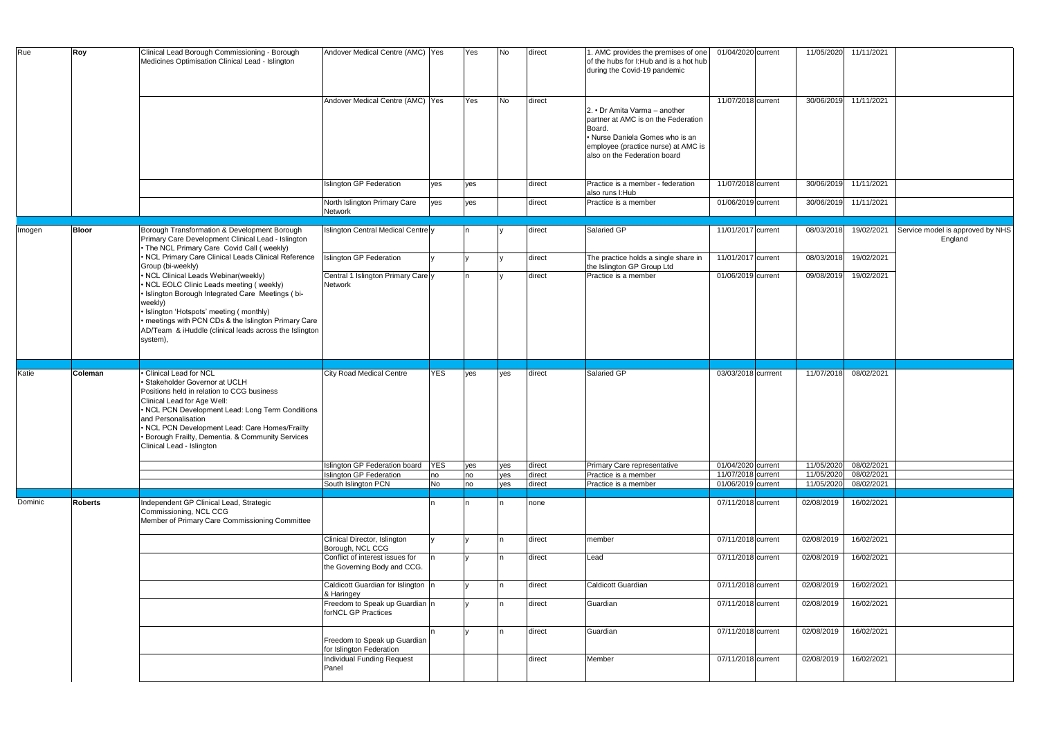| Rue     | Roy            | Clinical Lead Borough Commissioning - Borough<br>Medicines Optimisation Clinical Lead - Islington                                                                                                                                                                                                                                                     | Andover Medical Centre (AMC) Yes                                                       |            | Yes | No  | direct           | 1. AMC provides the premises of one<br>of the hubs for I: Hub and is a hot hub<br>during the Covid-19 pandemic                                                                           | 01/04/2020 current                       | 11/05/2020               | 11/11/2021               |                                             |
|---------|----------------|-------------------------------------------------------------------------------------------------------------------------------------------------------------------------------------------------------------------------------------------------------------------------------------------------------------------------------------------------------|----------------------------------------------------------------------------------------|------------|-----|-----|------------------|------------------------------------------------------------------------------------------------------------------------------------------------------------------------------------------|------------------------------------------|--------------------------|--------------------------|---------------------------------------------|
|         |                |                                                                                                                                                                                                                                                                                                                                                       | Andover Medical Centre (AMC) Yes                                                       |            | Yes | No  | direct           | 2. • Dr Amita Varma - another<br>partner at AMC is on the Federation<br>Board.<br>• Nurse Daniela Gomes who is an<br>employee (practice nurse) at AMC is<br>also on the Federation board | 11/07/2018 current                       | 30/06/2019               | 11/11/2021               |                                             |
|         |                |                                                                                                                                                                                                                                                                                                                                                       | <b>Islington GP Federation</b>                                                         | yes        | yes |     | direct           | Practice is a member - federation<br>also runs I: Hub                                                                                                                                    | 11/07/2018 current                       | 30/06/2019               | 11/11/2021               |                                             |
|         |                |                                                                                                                                                                                                                                                                                                                                                       | North Islington Primary Care<br>Network                                                | yes        | yes |     | direct           | Practice is a member                                                                                                                                                                     | 01/06/2019 current                       | 30/06/2019               | 11/11/2021               |                                             |
| Imogen  | <b>Bloor</b>   | Borough Transformation & Development Borough<br>Primary Care Development Clinical Lead - Islington<br>• The NCL Primary Care Covid Call (weekly)                                                                                                                                                                                                      | Islington Central Medical Centre y                                                     |            |     |     | direct           | Salaried GP                                                                                                                                                                              | 11/01/2017 current                       | 08/03/2018               | 19/02/2021               | Service model is approved by NHS<br>England |
|         |                | . NCL Primary Care Clinical Leads Clinical Reference<br>Group (bi-weekly)                                                                                                                                                                                                                                                                             | <b>Islington GP Federation</b>                                                         |            |     |     | direct           | The practice holds a single share in<br>the Islington GP Group Ltd                                                                                                                       | 11/01/2017 current                       | 08/03/2018               | 19/02/2021               |                                             |
|         |                | • NCL Clinical Leads Webinar(weekly)<br>• NCL EOLC Clinic Leads meeting (weekly)<br>· Islington Borough Integrated Care Meetings (bi-<br>weekly)<br>· Islington 'Hotspots' meeting (monthly)<br>• meetings with PCN CDs & the Islington Primary Care<br>AD/Team & iHuddle (clinical leads across the Islington<br>system),                            | Central 1 Islington Primary Carely<br>Network                                          |            | n.  |     | direct           | Practice is a member                                                                                                                                                                     | 01/06/2019 current                       | 09/08/2019               | 19/02/2021               |                                             |
|         |                |                                                                                                                                                                                                                                                                                                                                                       |                                                                                        |            |     |     |                  |                                                                                                                                                                                          |                                          |                          |                          |                                             |
|         |                |                                                                                                                                                                                                                                                                                                                                                       |                                                                                        |            |     |     |                  |                                                                                                                                                                                          |                                          |                          |                          |                                             |
| Katie   | Coleman        | · Clinical Lead for NCL<br>· Stakeholder Governor at UCLH<br>Positions held in relation to CCG business<br>Clinical Lead for Age Well:<br>• NCL PCN Development Lead: Long Term Conditions<br>and Personalisation<br>• NCL PCN Development Lead: Care Homes/Frailty<br>• Borough Frailty, Dementia. & Community Services<br>Clinical Lead - Islington | <b>City Road Medical Centre</b>                                                        | <b>YES</b> | yes | yes | direct           | Salaried GP                                                                                                                                                                              | 03/03/2018 currrent                      | 11/07/2018               | 08/02/2021               |                                             |
|         |                |                                                                                                                                                                                                                                                                                                                                                       | Islington GP Federation board                                                          | <b>YES</b> | yes | yes | direct           | Primary Care representative                                                                                                                                                              | 01/04/2020 current                       | 11/05/2020               | 08/02/2021               |                                             |
|         |                |                                                                                                                                                                                                                                                                                                                                                       | <b>Islington GP Federation</b>                                                         | no         | no  | yes | direct           | Practice is a member                                                                                                                                                                     | 11/07/2018 current                       | 11/05/2020               | 08/02/2021               |                                             |
|         |                |                                                                                                                                                                                                                                                                                                                                                       | South Islington PCN                                                                    | <b>No</b>  | no  | yes | direct           | Practice is a member                                                                                                                                                                     | 01/06/2019 current                       | 11/05/2020               | 08/02/2021               |                                             |
| Dominic | <b>Roberts</b> | Independent GP Clinical Lead, Strategic<br>Commissioning, NCL CCG<br>Member of Primary Care Commissioning Committee                                                                                                                                                                                                                                   |                                                                                        |            |     |     | none             |                                                                                                                                                                                          | 07/11/2018 current                       | 02/08/2019               | 16/02/2021               |                                             |
|         |                |                                                                                                                                                                                                                                                                                                                                                       | Clinical Director, Islington<br>Borough, NCL CCG                                       |            |     |     | direct           | member                                                                                                                                                                                   | 07/11/2018 current                       | 02/08/2019               | 16/02/2021               |                                             |
|         |                |                                                                                                                                                                                                                                                                                                                                                       | Conflict of interest issues for<br>the Governing Body and CCG.                         |            |     |     | direct           | Lead                                                                                                                                                                                     | 07/11/2018 current                       | 02/08/2019               | 16/02/2021               |                                             |
|         |                |                                                                                                                                                                                                                                                                                                                                                       | Caldicott Guardian for Islington n<br>& Haringey                                       |            |     |     | direct           | Caldicott Guardian                                                                                                                                                                       | 07/11/2018 current                       | 02/08/2019               | 16/02/2021               |                                             |
|         |                |                                                                                                                                                                                                                                                                                                                                                       | Freedom to Speak up Guardian n<br>forNCL GP Practices                                  |            |     |     | direct           | Guardian                                                                                                                                                                                 | 07/11/2018 current                       | 02/08/2019               | 16/02/2021               |                                             |
|         |                |                                                                                                                                                                                                                                                                                                                                                       | Freedom to Speak up Guardian<br>for Islington Federation<br>Individual Funding Request |            |     | In  | direct<br>direct | Guardian<br>Member                                                                                                                                                                       | 07/11/2018 current<br>07/11/2018 current | 02/08/2019<br>02/08/2019 | 16/02/2021<br>16/02/2021 |                                             |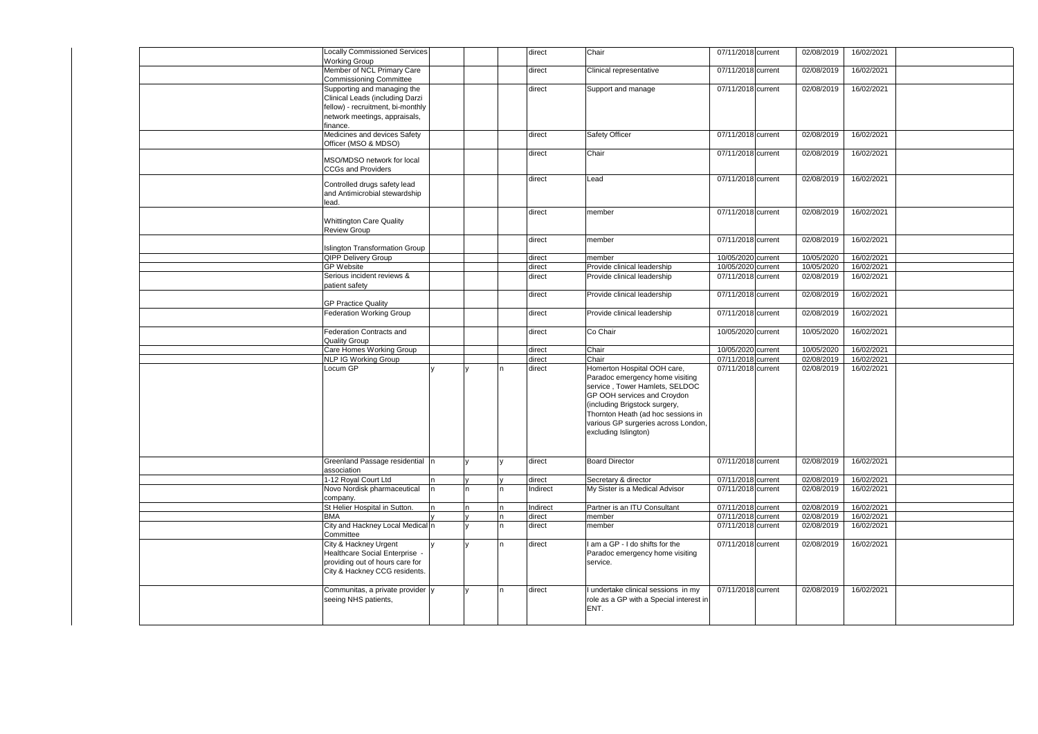| Locally Commissioned Services<br><b>Working Group</b> |   |              | direct           | Chair                                   | 07/11/2018 current                       | 02/08/2019               | 16/02/2021               |
|-------------------------------------------------------|---|--------------|------------------|-----------------------------------------|------------------------------------------|--------------------------|--------------------------|
| Member of NCL Primary Care                            |   |              | direct           | Clinical representative                 | 07/11/2018 current                       | 02/08/2019               | 16/02/2021               |
| Commissioning Committee                               |   |              |                  |                                         |                                          |                          |                          |
| Supporting and managing the                           |   |              | direct           | Support and manage                      | 07/11/2018 current                       | 02/08/2019               | 16/02/2021               |
| Clinical Leads (including Darzi                       |   |              |                  |                                         |                                          |                          |                          |
| fellow) - recruitment, bi-monthly                     |   |              |                  |                                         |                                          |                          |                          |
| network meetings, appraisals,                         |   |              |                  |                                         |                                          |                          |                          |
| finance.                                              |   |              |                  |                                         |                                          |                          |                          |
| Medicines and devices Safety<br>Officer (MSO & MDSO)  |   |              | direct           | <b>Safety Officer</b>                   | 07/11/2018 current                       | 02/08/2019               | 16/02/2021               |
|                                                       |   |              | direct           | Chair                                   | 07/11/2018 current                       | 02/08/2019               | 16/02/2021               |
| MSO/MDSO network for local                            |   |              |                  |                                         |                                          |                          |                          |
| <b>CCGs and Providers</b>                             |   |              |                  |                                         |                                          |                          |                          |
| Controlled drugs safety lead                          |   |              | direct           | Lead                                    | 07/11/2018 current                       | 02/08/2019               | 16/02/2021               |
| and Antimicrobial stewardship                         |   |              |                  |                                         |                                          |                          |                          |
| lead.                                                 |   |              |                  |                                         |                                          |                          |                          |
|                                                       |   |              | direct           | member                                  | 07/11/2018 current                       | 02/08/2019               | 16/02/2021               |
| <b>Whittington Care Quality</b>                       |   |              |                  |                                         |                                          |                          |                          |
| <b>Review Group</b>                                   |   |              |                  |                                         |                                          |                          |                          |
|                                                       |   |              | direct           | member                                  | 07/11/2018 current                       | 02/08/2019               | 16/02/2021               |
| <b>Islington Transformation Group</b>                 |   |              |                  |                                         |                                          |                          |                          |
| <b>QIPP Delivery Group</b><br><b>GP Website</b>       |   |              | direct           | member<br>Provide clinical leadership   | 10/05/2020 current<br>10/05/2020 current | 10/05/2020<br>10/05/2020 | 16/02/2021<br>16/02/2021 |
| Serious incident reviews &                            |   |              | direct<br>direct | Provide clinical leadership             | 07/11/2018 current                       | 02/08/2019               | 16/02/2021               |
| patient safety                                        |   |              |                  |                                         |                                          |                          |                          |
|                                                       |   |              | direct           | Provide clinical leadership             | 07/11/2018 current                       | 02/08/2019               | 16/02/2021               |
| <b>GP Practice Quality</b>                            |   |              |                  |                                         |                                          |                          |                          |
| <b>Federation Working Group</b>                       |   |              | direct           | Provide clinical leadership             | 07/11/2018 current                       | 02/08/2019               | 16/02/2021               |
|                                                       |   |              |                  |                                         |                                          |                          |                          |
| Federation Contracts and                              |   |              | direct           | Co Chair                                | 10/05/2020 current                       | 10/05/2020               | 16/02/2021               |
| <b>Quality Group</b><br>Care Homes Working Group      |   |              | direct           | Chair                                   | 10/05/2020 current                       | 10/05/2020               | 16/02/2021               |
| <b>NLP IG Working Group</b>                           |   |              | direct           | Chair                                   | 07/11/2018 current                       | 02/08/2019               | 16/02/2021               |
| Locum GP                                              |   |              | direct           | Homerton Hospital OOH care,             | 07/11/2018 current                       | 02/08/2019               | 16/02/2021               |
|                                                       |   |              |                  | Paradoc emergency home visiting         |                                          |                          |                          |
|                                                       |   |              |                  | service, Tower Hamlets, SELDOC          |                                          |                          |                          |
|                                                       |   |              |                  | GP OOH services and Croydon             |                                          |                          |                          |
|                                                       |   |              |                  | (including Brigstock surgery,           |                                          |                          |                          |
|                                                       |   |              |                  | Thornton Heath (ad hoc sessions in      |                                          |                          |                          |
|                                                       |   |              |                  | various GP surgeries across London,     |                                          |                          |                          |
|                                                       |   |              |                  | excluding Islington)                    |                                          |                          |                          |
|                                                       |   |              |                  |                                         |                                          |                          |                          |
| Greenland Passage residential n                       |   |              | direct           | <b>Board Director</b>                   | 07/11/2018 current                       | 02/08/2019               | 16/02/2021               |
| association                                           |   |              |                  |                                         |                                          |                          |                          |
| 1-12 Royal Court Ltd                                  | n |              | direct           | Secretary & director                    | 07/11/2018 current                       | 02/08/2019               | 16/02/2021               |
| Novo Nordisk pharmaceutical                           |   | n.           | Indirect         | My Sister is a Medical Advisor          | 07/11/2018 current                       | 02/08/2019               | 16/02/2021               |
| company.                                              |   |              |                  |                                         |                                          |                          |                          |
| St Helier Hospital in Sutton.                         |   |              | Indirect         | Partner is an ITU Consultant            | 07/11/2018 current                       | 02/08/2019               | 16/02/2021               |
| <b>BMA</b>                                            |   |              | direct           | member                                  | 07/11/2018 current                       | 02/08/2019               | 16/02/2021               |
| City and Hackney Local Medical n<br>Committee         |   |              | direct           | member                                  | 07/11/2018 current                       | 02/08/2019               | 16/02/2021               |
| City & Hackney Urgent                                 |   |              | direct           | I am a GP - I do shifts for the         | 07/11/2018 current                       | 02/08/2019               | 16/02/2021               |
| Healthcare Social Enterprise -                        |   |              |                  | Paradoc emergency home visiting         |                                          |                          |                          |
| providing out of hours care for                       |   |              |                  | service.                                |                                          |                          |                          |
| City & Hackney CCG residents.                         |   |              |                  |                                         |                                          |                          |                          |
|                                                       |   |              |                  |                                         |                                          |                          |                          |
| Communitas, a private provider y                      |   | $\mathbf{v}$ | direct           | I undertake clinical sessions in my     | 07/11/2018 current                       | 02/08/2019               | 16/02/2021               |
| seeing NHS patients,                                  |   |              |                  | role as a GP with a Special interest in |                                          |                          |                          |
|                                                       |   |              |                  | ENT.                                    |                                          |                          |                          |
|                                                       |   |              |                  |                                         |                                          |                          |                          |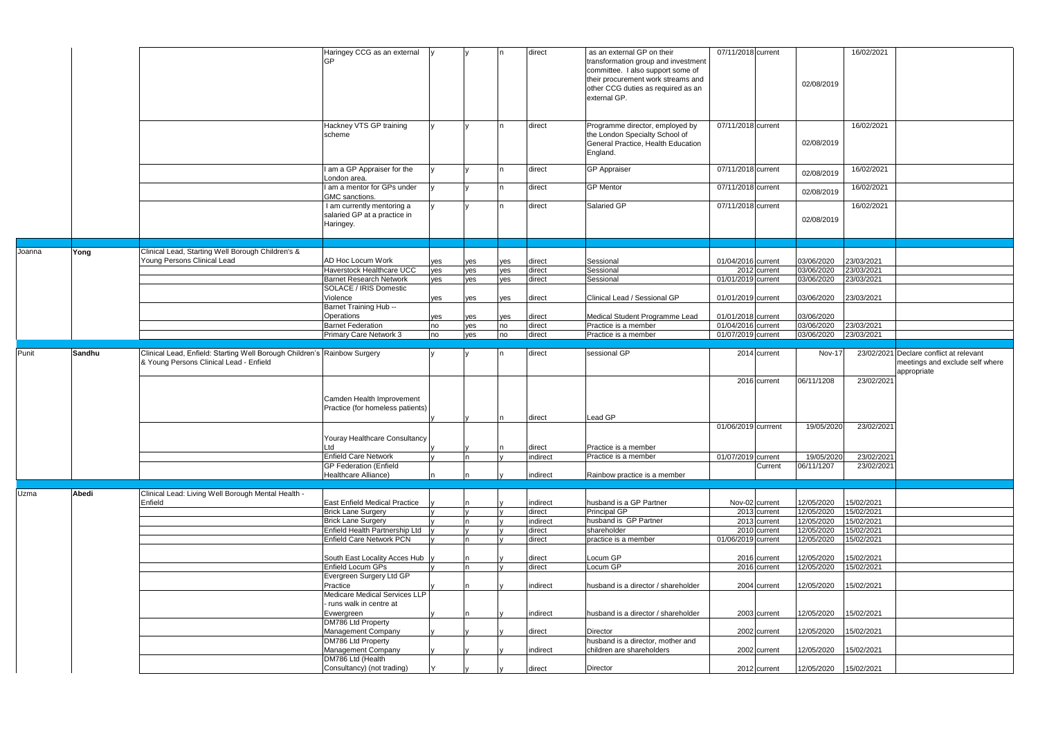|        |        |                                                                          | Haringey CCG as an external<br>GP                                       |     |     |     | direct             | as an external GP on their<br>transformation group and investment<br>committee. I also support some of<br>their procurement work streams and<br>other CCG duties as required as an<br>external GP. | 07/11/2018 current           | 16/02/2021<br>02/08/2019                             |                                                |
|--------|--------|--------------------------------------------------------------------------|-------------------------------------------------------------------------|-----|-----|-----|--------------------|----------------------------------------------------------------------------------------------------------------------------------------------------------------------------------------------------|------------------------------|------------------------------------------------------|------------------------------------------------|
|        |        |                                                                          | Hackney VTS GP training<br>scheme                                       |     |     |     | direct             | Programme director, employed by<br>the London Specialty School of<br>General Practice, Health Education<br>England.                                                                                | 07/11/2018 current           | 16/02/2021<br>02/08/2019                             |                                                |
|        |        |                                                                          | I am a GP Appraiser for the<br>London area.                             |     |     |     | direct             | <b>GP</b> Appraiser                                                                                                                                                                                | 07/11/2018 current           | 16/02/2021<br>02/08/2019                             |                                                |
|        |        |                                                                          | I am a mentor for GPs under<br>GMC sanctions.                           |     |     |     | direct             | <b>GP Mentor</b>                                                                                                                                                                                   | 07/11/2018 current           | 16/02/2021<br>02/08/2019                             |                                                |
|        |        |                                                                          | I am currently mentoring a<br>salaried GP at a practice in<br>Haringey. |     |     |     | direct             | Salaried GP                                                                                                                                                                                        | 07/11/2018 current           | 16/02/2021<br>02/08/2019                             |                                                |
| Joanna | Yong   | Clinical Lead, Starting Well Borough Children's &                        |                                                                         |     |     |     |                    |                                                                                                                                                                                                    |                              |                                                      |                                                |
|        |        | Young Persons Clinical Lead                                              | <b>AD Hoc Locum Work</b>                                                | yes | yes | yes | direct             | Sessional                                                                                                                                                                                          | 01/04/2016 current           | 23/03/2021<br>03/06/2020                             |                                                |
|        |        |                                                                          | Haverstock Healthcare UCC                                               | yes | yes | yes | direct             | Sessional                                                                                                                                                                                          | 2012 current                 | 03/06/2020<br>23/03/2021                             |                                                |
|        |        |                                                                          | <b>Barnet Research Network</b><br>SOLACE / IRIS Domestic                | yes | yes | yes | direct             | Sessional                                                                                                                                                                                          | 01/01/2019 current           | 23/03/2021<br>03/06/2020                             |                                                |
|        |        |                                                                          | Violence                                                                | yes | yes | yes | direct             | Clinical Lead / Sessional GP                                                                                                                                                                       | 01/01/2019 current           | 03/06/2020<br>23/03/2021                             |                                                |
|        |        |                                                                          | Barnet Training Hub --<br>Operations                                    | yes | yes | yes | direct             | Medical Student Programme Lead                                                                                                                                                                     | 01/01/2018 current           | 03/06/2020                                           |                                                |
|        |        |                                                                          | <b>Barnet Federation</b>                                                | no  | yes | no  | direct             | Practice is a member                                                                                                                                                                               | 01/04/2016 current           | 23/03/2021<br>03/06/2020                             |                                                |
|        |        |                                                                          | Primary Care Network 3                                                  | no  | yes | no  | direct             | Practice is a member                                                                                                                                                                               | 01/07/2019 current           | 23/03/2021<br>03/06/2020                             |                                                |
| Punit  | Sandhu | Clinical Lead, Enfield: Starting Well Borough Children's Rainbow Surgery |                                                                         |     |     |     | direct             | sessional GP                                                                                                                                                                                       | 2014 current                 | Nov-17                                               | 23/02/2021 Declare conflict at relevant        |
|        |        | & Young Persons Clinical Lead - Enfield                                  |                                                                         |     |     |     |                    |                                                                                                                                                                                                    |                              |                                                      | meetings and exclude self where<br>appropriate |
|        |        |                                                                          |                                                                         |     |     |     |                    |                                                                                                                                                                                                    | 2016 current                 | 06/11/1208<br>23/02/2021                             |                                                |
|        |        |                                                                          | Camden Health Improvement<br>Practice (for homeless patients)           |     |     |     |                    |                                                                                                                                                                                                    |                              |                                                      |                                                |
|        |        |                                                                          |                                                                         |     |     |     |                    |                                                                                                                                                                                                    |                              |                                                      |                                                |
|        |        |                                                                          |                                                                         |     |     |     | direct             | Lead GP                                                                                                                                                                                            |                              |                                                      |                                                |
|        |        |                                                                          | Youray Healthcare Consultancy                                           |     |     |     |                    |                                                                                                                                                                                                    | 01/06/2019 currrent          | 23/02/2021<br>19/05/2020                             |                                                |
|        |        |                                                                          | Ltd<br>Enfield Care Network                                             |     |     |     | direct<br>indirect | Practice is a member<br>Practice is a member                                                                                                                                                       | 01/07/2019 current           | 19/05/2020<br>23/02/2021                             |                                                |
|        |        |                                                                          | <b>GP Federation (Enfield</b>                                           |     |     |     |                    |                                                                                                                                                                                                    | Current                      | 06/11/1207<br>23/02/2021                             |                                                |
|        |        |                                                                          | Healthcare Alliance)                                                    |     |     |     | indirect           | Rainbow practice is a member                                                                                                                                                                       |                              |                                                      |                                                |
|        |        |                                                                          |                                                                         |     |     |     |                    |                                                                                                                                                                                                    |                              |                                                      |                                                |
| Uzma   | Abedi  | Clinical Lead: Living Well Borough Mental Health -<br>Enfield            | <b>East Enfield Medical Practice</b>                                    |     |     |     | indirect           | husband is a GP Partner                                                                                                                                                                            | Nov-02 current               | 15/02/2021<br>12/05/2020                             |                                                |
|        |        |                                                                          | <b>Brick Lane Surgery</b>                                               |     |     |     | direct             | Principal GP                                                                                                                                                                                       | 2013 current                 | 15/02/2021<br>12/05/2020                             |                                                |
|        |        |                                                                          | <b>Brick Lane Surgery</b>                                               |     | n   |     | indirect           | husband is GP Partner                                                                                                                                                                              | 2013 current                 | 12/05/2020<br>15/02/2021                             |                                                |
|        |        |                                                                          | Enfield Health Partnership Ltd                                          |     |     |     | direct             | shareholder                                                                                                                                                                                        | 2010 current                 | 12/05/2020<br>15/02/2021                             |                                                |
|        |        |                                                                          | <b>Enfield Care Network PCN</b>                                         |     |     |     | direct             | practice is a member                                                                                                                                                                               | 01/06/2019 current           | 15/02/2021<br>12/05/2020                             |                                                |
|        |        |                                                                          | South East Locality Acces Hub                                           |     |     |     | direct             | Locum GP                                                                                                                                                                                           | 2016 current                 | 15/02/2021<br>12/05/2020                             |                                                |
|        |        |                                                                          | Enfield Locum GPs                                                       |     | n.  |     | direct             | Locum GP                                                                                                                                                                                           | 2016 current                 | 12/05/2020<br>15/02/2021                             |                                                |
|        |        |                                                                          | Evergreen Surgery Ltd GP<br>Practice                                    |     |     |     | indirect           | husband is a director / shareholder                                                                                                                                                                | 2004 current                 | 15/02/2021<br>12/05/2020                             |                                                |
|        |        |                                                                          | Medicare Medical Services LLP<br>- runs walk in centre at               |     |     |     |                    |                                                                                                                                                                                                    |                              |                                                      |                                                |
|        |        |                                                                          | Evwergreen<br>DM786 Ltd Property                                        |     |     |     | indirect           | husband is a director / shareholder                                                                                                                                                                | 2003 current                 | 15/02/2021<br>12/05/2020                             |                                                |
|        |        |                                                                          | Management Company                                                      |     |     |     | direct             | Director                                                                                                                                                                                           | 2002 current                 | 12/05/2020<br>15/02/2021                             |                                                |
|        |        |                                                                          | DM786 Ltd Property                                                      |     |     |     |                    | husband is a director, mother and                                                                                                                                                                  |                              |                                                      |                                                |
|        |        |                                                                          | Management Company<br>DM786 Ltd (Health<br>Consultancy) (not trading)   |     |     |     | indirect<br>direct | children are shareholders<br>Director                                                                                                                                                              | 2002 current<br>2012 current | 15/02/2021<br>12/05/2020<br>15/02/2021<br>12/05/2020 |                                                |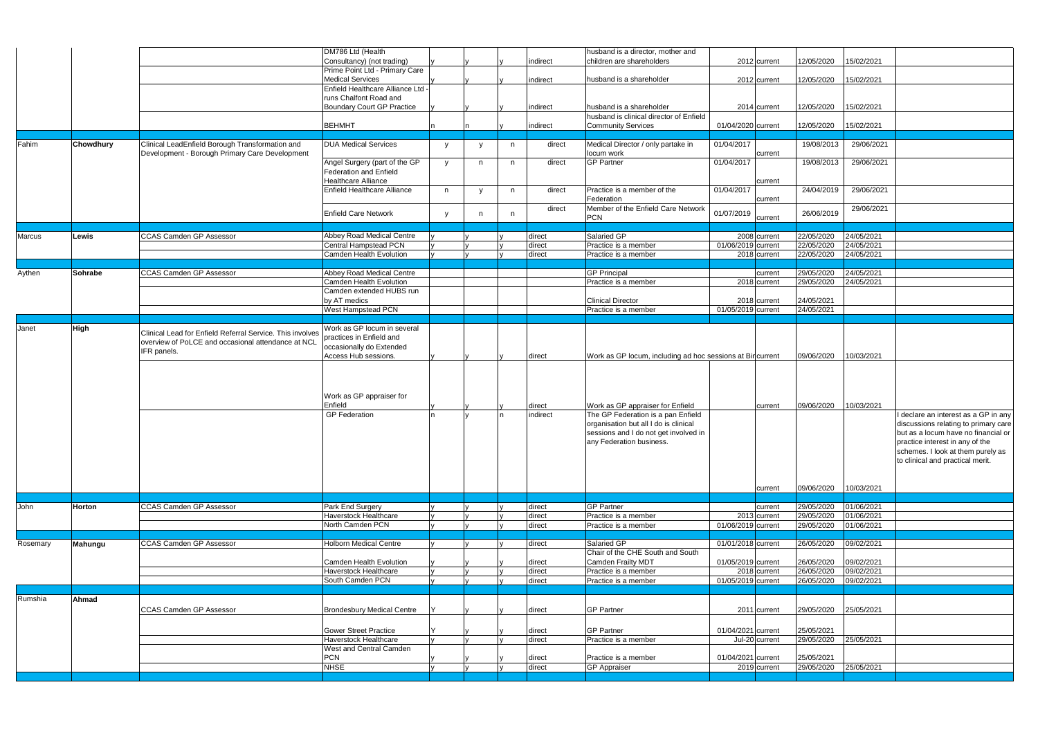|          |             |                                                           | DM786 Ltd (Health                                  |          |              |   |                  | husband is a director, mother and                         |                                    |                          |                          |                                                                       |
|----------|-------------|-----------------------------------------------------------|----------------------------------------------------|----------|--------------|---|------------------|-----------------------------------------------------------|------------------------------------|--------------------------|--------------------------|-----------------------------------------------------------------------|
|          |             |                                                           | Consultancy) (not trading)                         |          |              |   | indirect         | children are shareholders                                 | 2012 current                       | 12/05/2020               | 15/02/2021               |                                                                       |
|          |             |                                                           | Prime Point Ltd - Primary Care                     |          |              |   |                  |                                                           |                                    |                          |                          |                                                                       |
|          |             |                                                           | <b>Medical Services</b>                            |          |              |   | indirect         | husband is a shareholder                                  | 2012 current                       | 12/05/2020               | 15/02/2021               |                                                                       |
|          |             |                                                           | Enfield Healthcare Alliance Ltd -                  |          |              |   |                  |                                                           |                                    |                          |                          |                                                                       |
|          |             |                                                           | runs Chalfont Road and                             |          |              |   |                  |                                                           |                                    |                          |                          |                                                                       |
|          |             |                                                           | Boundary Court GP Practice                         |          |              |   | indirect         | husband is a shareholder                                  | 2014 current                       | 12/05/2020               | 15/02/2021               |                                                                       |
|          |             |                                                           |                                                    |          |              |   |                  | husband is clinical director of Enfield                   |                                    |                          |                          |                                                                       |
|          |             |                                                           | <b>BEHMHT</b>                                      |          |              |   | indirect         | <b>Community Services</b>                                 | 01/04/2020 current                 | 12/05/2020               | 15/02/2021               |                                                                       |
| Fahim    | Chowdhury   | Clinical LeadEnfield Borough Transformation and           | <b>DUA Medical Services</b>                        |          |              |   | direct           | Medical Director / only partake in                        | 01/04/2017                         | 19/08/2013               | 29/06/2021               |                                                                       |
|          |             | Development - Borough Primary Care Development            |                                                    | y        |              | n |                  | locum work                                                | current                            |                          |                          |                                                                       |
|          |             |                                                           | Angel Surgery (part of the GP                      | y        | n.           | n | direct           | <b>GP Partner</b>                                         | 01/04/2017                         | 19/08/2013               | 29/06/2021               |                                                                       |
|          |             |                                                           | Federation and Enfield                             |          |              |   |                  |                                                           |                                    |                          |                          |                                                                       |
|          |             |                                                           | <b>Healthcare Alliance</b>                         |          |              |   |                  |                                                           | current                            |                          |                          |                                                                       |
|          |             |                                                           | <b>Enfield Healthcare Alliance</b>                 | n        | $\mathbf{v}$ | n | direct           | Practice is a member of the                               | 01/04/2017                         | 24/04/2019               | 29/06/2021               |                                                                       |
|          |             |                                                           |                                                    |          |              |   |                  | Federation                                                | current                            |                          |                          |                                                                       |
|          |             |                                                           | <b>Enfield Care Network</b>                        | <b>V</b> |              | n | direct           | Member of the Enfield Care Network                        | 01/07/2019                         | 26/06/2019               | 29/06/2021               |                                                                       |
|          |             |                                                           |                                                    |          |              |   |                  | <b>PCN</b>                                                | current                            |                          |                          |                                                                       |
|          |             |                                                           |                                                    |          |              |   |                  |                                                           |                                    |                          |                          |                                                                       |
| Marcus   | Lewis       | <b>CCAS Camden GP Assessor</b>                            | Abbey Road Medical Centre<br>Central Hampstead PCN |          |              |   | direct<br>direct | Salaried GP<br>Practice is a member                       | 2008 current<br>01/06/2019 current | 22/05/2020<br>22/05/2020 | 24/05/2021<br>24/05/2021 |                                                                       |
|          |             |                                                           | Camden Health Evolution                            |          |              |   | direct           | Practice is a member                                      | $\overline{2018}$ current          | 22/05/2020               | 24/05/2021               |                                                                       |
|          |             |                                                           |                                                    |          |              |   |                  |                                                           |                                    |                          |                          |                                                                       |
| Aythen   | Sohrabe     | <b>CCAS Camden GP Assessor</b>                            | Abbey Road Medical Centre                          |          |              |   |                  | <b>GP Principal</b>                                       | current                            | 29/05/2020               | 24/05/2021               |                                                                       |
|          |             |                                                           | <b>Camden Health Evolution</b>                     |          |              |   |                  | Practice is a member                                      | 2018 current                       | 29/05/2020               | 24/05/2021               |                                                                       |
|          |             |                                                           | Camden extended HUBS run                           |          |              |   |                  |                                                           |                                    |                          |                          |                                                                       |
|          |             |                                                           | by AT medics                                       |          |              |   |                  | <b>Clinical Director</b>                                  | 2018 current                       | 24/05/2021               |                          |                                                                       |
|          |             |                                                           | <b>West Hampstead PCN</b>                          |          |              |   |                  | Practice is a member                                      | 01/05/2019 current                 | 24/05/2021               |                          |                                                                       |
|          |             |                                                           |                                                    |          |              |   |                  |                                                           |                                    |                          |                          |                                                                       |
| Janet    | <b>High</b> | Clinical Lead for Enfield Referral Service. This involves | Work as GP locum in several                        |          |              |   |                  |                                                           |                                    |                          |                          |                                                                       |
|          |             | overview of PoLCE and occasional attendance at NCL        | practices in Enfield and                           |          |              |   |                  |                                                           |                                    |                          |                          |                                                                       |
|          |             | IFR panels.                                               | occasionally do Extended                           |          |              |   |                  |                                                           |                                    |                          |                          |                                                                       |
|          |             |                                                           | Access Hub sessions.                               |          |              |   | direct           | Work as GP locum, including ad hoc sessions at Bircurrent |                                    | 09/06/2020               | 10/03/2021               |                                                                       |
|          |             |                                                           |                                                    |          |              |   |                  |                                                           |                                    |                          |                          |                                                                       |
|          |             |                                                           |                                                    |          |              |   |                  |                                                           |                                    |                          |                          |                                                                       |
|          |             |                                                           |                                                    |          |              |   |                  |                                                           |                                    |                          |                          |                                                                       |
|          |             |                                                           | Work as GP appraiser for                           |          |              |   |                  |                                                           |                                    |                          |                          |                                                                       |
|          |             |                                                           | Enfield                                            |          |              |   | direct           | Work as GP appraiser for Enfield                          | current                            | 09/06/2020               | 10/03/2021               |                                                                       |
|          |             |                                                           | <b>GP</b> Federation                               |          |              |   | indirect         | The GP Federation is a pan Enfield                        |                                    |                          |                          | declare an interest as a GP in any                                    |
|          |             |                                                           |                                                    |          |              |   |                  | organisation but all I do is clinical                     |                                    |                          |                          | discussions relating to primary care                                  |
|          |             |                                                           |                                                    |          |              |   |                  | sessions and I do not get involved in                     |                                    |                          |                          | but as a locum have no financial or                                   |
|          |             |                                                           |                                                    |          |              |   |                  | any Federation business.                                  |                                    |                          |                          | practice interest in any of the                                       |
|          |             |                                                           |                                                    |          |              |   |                  |                                                           |                                    |                          |                          | schemes. I look at them purely as<br>to clinical and practical merit. |
|          |             |                                                           |                                                    |          |              |   |                  |                                                           |                                    |                          |                          |                                                                       |
|          |             |                                                           |                                                    |          |              |   |                  |                                                           |                                    |                          |                          |                                                                       |
|          |             |                                                           |                                                    |          |              |   |                  |                                                           | current                            | 09/06/2020               | 10/03/2021               |                                                                       |
|          |             |                                                           |                                                    |          |              |   |                  |                                                           |                                    |                          |                          |                                                                       |
| John     | Horton      | CCAS Camden GP Assessor                                   | Park End Surgery                                   |          |              |   | direct           | <b>GP Partner</b>                                         | current                            | 29/05/2020               | 01/06/2021               |                                                                       |
|          |             |                                                           | <b>Haverstock Healthcare</b>                       |          |              |   | direct           | Practice is a member                                      | 2013 current                       | 29/05/2020               | 01/06/2021               |                                                                       |
|          |             |                                                           | North Camden PCN                                   |          |              |   | direct           | Practice is a member                                      | 01/06/2019 current                 | 29/05/2020               | 01/06/2021               |                                                                       |
|          |             |                                                           |                                                    |          |              |   |                  |                                                           |                                    |                          |                          |                                                                       |
| Rosemary | Mahungu     | CCAS Camden GP Assessor                                   | <b>Holborn Medical Centre</b>                      |          |              |   | direct           | Salaried GP                                               | 01/01/2018 current                 | 26/05/2020               | 09/02/2021               |                                                                       |
|          |             |                                                           |                                                    |          |              |   |                  | Chair of the CHE South and South                          |                                    |                          |                          |                                                                       |
|          |             |                                                           | Camden Health Evolution                            |          |              |   | direct           | Camden Frailty MDT                                        | 01/05/2019 current                 | 26/05/2020               | 09/02/2021               |                                                                       |
|          |             |                                                           | Haverstock Healthcare                              |          |              |   | direct           | Practice is a member                                      | 2018 current                       | 26/05/2020               | 09/02/2021               |                                                                       |
|          |             |                                                           | South Camden PCN                                   |          |              |   | direct           | Practice is a member                                      | 01/05/2019 current                 | 26/05/2020               | 09/02/2021               |                                                                       |
|          |             |                                                           |                                                    |          |              |   |                  |                                                           |                                    |                          |                          |                                                                       |
| Rumshia  | Ahmad       |                                                           |                                                    |          |              |   |                  |                                                           |                                    |                          |                          |                                                                       |
|          |             | CCAS Camden GP Assessor                                   | <b>Brondesbury Medical Centre</b>                  |          |              |   | direct           | <b>GP Partner</b>                                         | 2011 current                       | 29/05/2020               | 25/05/2021               |                                                                       |
|          |             |                                                           |                                                    |          |              |   |                  |                                                           |                                    |                          |                          |                                                                       |
|          |             |                                                           | <b>Gower Street Practice</b>                       |          |              |   | direct           | <b>GP Partner</b>                                         | 01/04/2021 current                 | 25/05/2021               |                          |                                                                       |
|          |             |                                                           | Haverstock Healthcare                              |          |              |   | direct           | Practice is a member                                      | Jul-20 current                     | 29/05/2020               | 25/05/2021               |                                                                       |
|          |             |                                                           | West and Central Camden                            |          |              |   |                  |                                                           |                                    |                          |                          |                                                                       |
|          |             |                                                           | <b>PCN</b>                                         |          |              |   | direct           | Practice is a member                                      | 01/04/2021 current                 | 25/05/2021               |                          |                                                                       |
|          |             |                                                           | <b>NHSE</b>                                        |          |              |   | direct           | <b>GP</b> Appraiser                                       | 2019 current                       | 29/05/2020               | 25/05/2021               |                                                                       |
|          |             |                                                           |                                                    |          |              |   |                  |                                                           |                                    |                          |                          |                                                                       |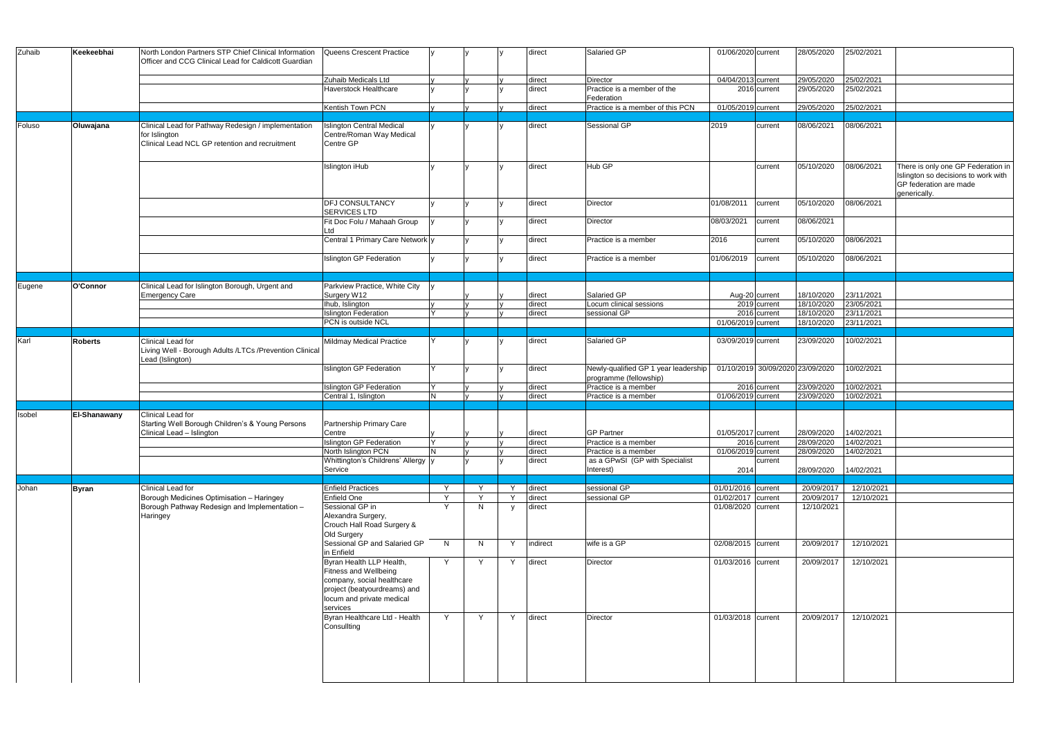| Zuhaib | Keekeebhai     | North London Partners STP Chief Clinical Information<br>Officer and CCG Clinical Lead for Caldicott Guardian           | Queens Crescent Practice                                                                                                                                 |     |                         |   | direct           | Salaried GP                                                    | 01/06/2020 current |                           | 28/05/2020                       | 25/02/2021               |                                                                                                                     |
|--------|----------------|------------------------------------------------------------------------------------------------------------------------|----------------------------------------------------------------------------------------------------------------------------------------------------------|-----|-------------------------|---|------------------|----------------------------------------------------------------|--------------------|---------------------------|----------------------------------|--------------------------|---------------------------------------------------------------------------------------------------------------------|
|        |                |                                                                                                                        | Zuhaib Medicals Ltd<br>Haverstock Healthcare                                                                                                             |     |                         |   | direct<br>direct | <b>Director</b><br>Practice is a member of the<br>Federation   | 04/04/2013 current | $\overline{2016}$ current | 29/05/2020<br>29/05/2020         | 25/02/2021<br>25/02/2021 |                                                                                                                     |
|        |                |                                                                                                                        | Kentish Town PCN                                                                                                                                         |     |                         |   | direct           | Practice is a member of this PCN                               | 01/05/2019 current |                           | 29/05/2020                       | 25/02/2021               |                                                                                                                     |
| Foluso | Oluwajana      | Clinical Lead for Pathway Redesign / implementation<br>for Islington<br>Clinical Lead NCL GP retention and recruitment | <b>Islington Central Medical</b><br>Centre/Roman Way Medical<br>Centre GP                                                                                |     |                         |   | direct           | Sessional GP                                                   | 2019               | current                   | 08/06/2021                       | 08/06/2021               |                                                                                                                     |
|        |                |                                                                                                                        | Islington iHub                                                                                                                                           |     |                         |   | direct           | Hub GP                                                         |                    | current                   | 05/10/2020                       | 08/06/2021               | There is only one GP Federation in<br>Islington so decisions to work with<br>GP federation are made<br>generically. |
|        |                |                                                                                                                        | <b>DFJ CONSULTANCY</b><br><b>SERVICES LTD</b>                                                                                                            |     |                         |   | direct           | Director                                                       | 01/08/2011         | current                   | 05/10/2020                       | 08/06/2021               |                                                                                                                     |
|        |                |                                                                                                                        | Fit Doc Folu / Mahaah Group<br>Ltd                                                                                                                       |     |                         |   | direct           | Director                                                       | 08/03/2021         | current                   | 08/06/2021                       |                          |                                                                                                                     |
|        |                |                                                                                                                        | Central 1 Primary Care Network y                                                                                                                         |     |                         |   | direct           | Practice is a member                                           | 2016               | current                   | 05/10/2020                       | 08/06/2021               |                                                                                                                     |
|        |                |                                                                                                                        | <b>Islington GP Federation</b>                                                                                                                           |     |                         |   | direct           | Practice is a member                                           | 01/06/2019         | current                   | 05/10/2020                       | 08/06/2021               |                                                                                                                     |
|        |                |                                                                                                                        |                                                                                                                                                          |     |                         |   |                  |                                                                |                    |                           |                                  |                          |                                                                                                                     |
| Eugene | O'Connor       | Clinical Lead for Islington Borough, Urgent and<br><b>Emergency Care</b>                                               | Parkview Practice, White City<br>Surgery W12                                                                                                             |     |                         |   | direct           | Salaried GP                                                    |                    | Aug-20 current            | 18/10/2020                       | 23/11/2021               |                                                                                                                     |
|        |                |                                                                                                                        | Ihub, Islington                                                                                                                                          |     |                         |   | direct           | Locum clinical sessions                                        |                    | 2019 current              | 18/10/2020                       | 23/05/2021               |                                                                                                                     |
|        |                |                                                                                                                        | <b>Islington Federation</b>                                                                                                                              |     |                         |   | direct           | sessional GP                                                   |                    | 2016 current              | 18/10/2020                       | 23/11/2021               |                                                                                                                     |
|        |                |                                                                                                                        | PCN is outside NCL                                                                                                                                       |     |                         |   |                  |                                                                | 01/06/2019 current |                           | 18/10/2020                       | 23/11/2021               |                                                                                                                     |
| Karl   | <b>Roberts</b> | Clinical Lead for<br>Living Well - Borough Adults /LTCs /Prevention Clinical<br>Lead (Islington)                       | Mildmay Medical Practice                                                                                                                                 |     |                         |   | direct           | Salaried GP                                                    | 03/09/2019 current |                           | 23/09/2020                       | 10/02/2021               |                                                                                                                     |
|        |                |                                                                                                                        | <b>Islington GP Federation</b>                                                                                                                           |     |                         |   | direct           | Newly-qualified GP 1 year leadership<br>programme (fellowship) |                    |                           | 01/10/2019 30/09/2020 23/09/2020 | 10/02/2021               |                                                                                                                     |
|        |                |                                                                                                                        | <b>Islington GP Federation</b>                                                                                                                           |     |                         |   | direct           | Practice is a member                                           |                    | 2016 current              | 23/09/2020                       | 10/02/2021               |                                                                                                                     |
|        |                |                                                                                                                        | Central 1, Islington                                                                                                                                     | N   |                         |   | direct           | Practice is a member                                           | 01/06/2019 current |                           | 23/09/2020                       | 10/02/2021               |                                                                                                                     |
| Isobel | El-Shanawany   | Clinical Lead for                                                                                                      |                                                                                                                                                          |     |                         |   |                  |                                                                |                    |                           |                                  |                          |                                                                                                                     |
|        |                | Starting Well Borough Children's & Young Persons<br>Clinical Lead - Islington                                          | Partnership Primary Care<br>Centre                                                                                                                       | V   | $\mathsf{I} \mathsf{v}$ | V | direct           | <b>GP Partner</b>                                              | 01/05/2017 current |                           | 28/09/2020                       | 14/02/2021               |                                                                                                                     |
|        |                |                                                                                                                        | <b>Islington GP Federation</b>                                                                                                                           | lY. |                         |   | direct           | Practice is a member                                           |                    | 2016 current              | 28/09/2020                       | 14/02/2021               |                                                                                                                     |
|        |                |                                                                                                                        | North Islington PCN<br>Whittington's Childrens' Allergy y                                                                                                | N.  |                         |   | direct<br>direct | Practice is a member<br>as a GPwSI (GP with Specialist         | 01/06/2019 current | current                   | 28/09/2020                       | 14/02/2021               |                                                                                                                     |
|        |                |                                                                                                                        | Service                                                                                                                                                  |     |                         |   |                  | Interest)                                                      | 2014               |                           | 28/09/2020                       | 14/02/2021               |                                                                                                                     |
|        |                |                                                                                                                        |                                                                                                                                                          |     |                         |   |                  |                                                                |                    |                           |                                  |                          |                                                                                                                     |
| Johan  | <b>Byran</b>   | Clinical Lead for                                                                                                      | <b>Enfield Practices</b>                                                                                                                                 | Y   |                         | Y | direct           | sessional GP                                                   | 01/01/2016 current |                           | 20/09/2017                       | 12/10/2021               |                                                                                                                     |
|        |                | Borough Medicines Optimisation - Haringey                                                                              | Enfield One                                                                                                                                              | Y   | $\checkmark$            | Y | direct           | sessional GP                                                   | 01/02/2017 current |                           | 20/09/2017                       | 12/10/2021               |                                                                                                                     |
|        |                | Borough Pathway Redesign and Implementation -<br>Haringey                                                              | Sessional GP in<br>Alexandra Surgery,<br>Crouch Hall Road Surgery &<br>Old Surgery                                                                       | Y   | N.                      | V | direct           |                                                                | 01/08/2020 current |                           | 12/10/2021                       |                          |                                                                                                                     |
|        |                |                                                                                                                        | Sessional GP and Salaried GP<br>in Enfield                                                                                                               | N   | N.                      | Y | indirect         | wife is a GP                                                   | 02/08/2015 current |                           | 20/09/2017                       | 12/10/2021               |                                                                                                                     |
|        |                |                                                                                                                        | Byran Health LLP Health,<br>Fitness and Wellbeing<br>company, social healthcare<br>project (beatyourdreams) and<br>locum and private medical<br>services | Y   | Y                       | Y | direct           | Director                                                       | 01/03/2016 current |                           | 20/09/2017                       | 12/10/2021               |                                                                                                                     |
|        |                |                                                                                                                        | Byran Healthcare Ltd - Health<br>Consullting                                                                                                             | Y   | <b>Y</b>                | Y | direct           | Director                                                       | 01/03/2018 current |                           | 20/09/2017                       | 12/10/2021               |                                                                                                                     |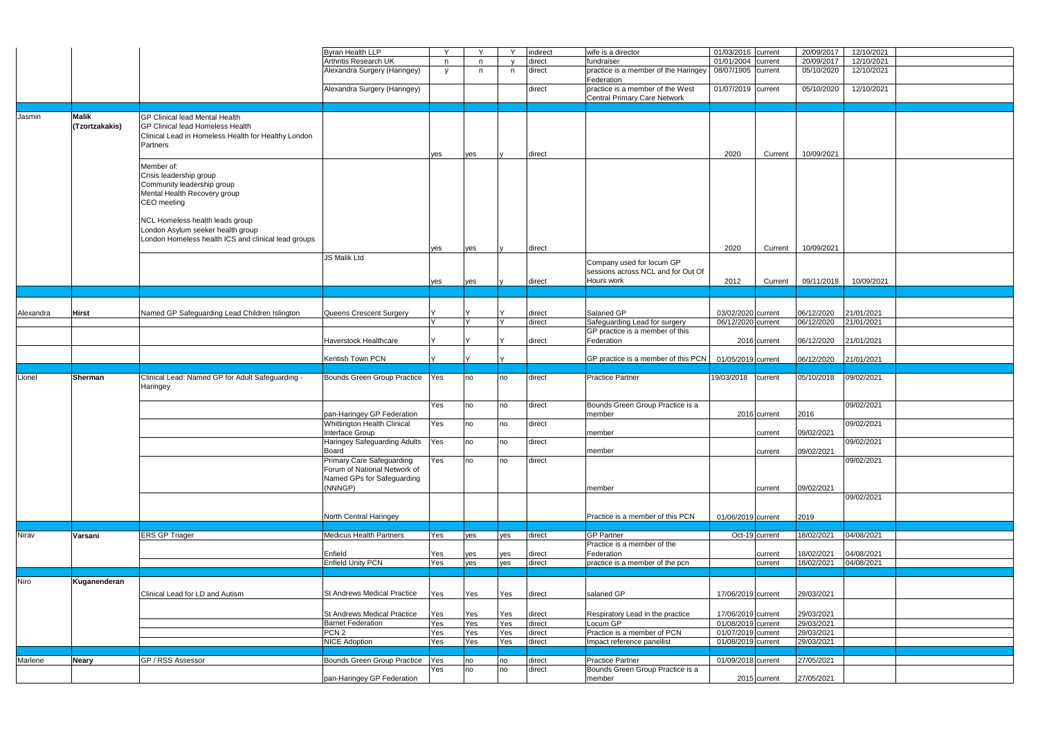|           |                |                                                       | Byran Health LLP                                                 | Y   | $\vee$ |        | indirect         | wife is a director                                                      | 01/03/2016 current |              | 20/09/2017 | 12/10/2021               |  |
|-----------|----------------|-------------------------------------------------------|------------------------------------------------------------------|-----|--------|--------|------------------|-------------------------------------------------------------------------|--------------------|--------------|------------|--------------------------|--|
|           |                |                                                       | Arthritis Research UK                                            | n   | n.     |        | direct           | fundraiser                                                              | 01/01/2004         | current      | 20/09/2017 | 12/10/2021               |  |
|           |                |                                                       | Alexandra Surgery (Haringey)                                     |     | n      | n      | direct           | practice is a member of the Haringey                                    | 08/07/1905 current |              | 05/10/2020 | 12/10/2021               |  |
|           |                |                                                       |                                                                  | y   |        |        |                  | Federation                                                              |                    |              |            |                          |  |
|           |                |                                                       | Alexandra Surgery (Haringey)                                     |     |        |        | direct           | practice is a member of the West<br><b>Central Primary Care Network</b> | 01/07/2019 current |              | 05/10/2020 | 12/10/2021               |  |
|           |                |                                                       |                                                                  |     |        |        |                  |                                                                         |                    |              |            |                          |  |
| Jasmin    | <b>Malik</b>   | <b>GP Clinical lead Mental Health</b>                 |                                                                  |     |        |        |                  |                                                                         |                    |              |            |                          |  |
|           | (Tzortzakakis) | GP Clinical lead Homeless Health                      |                                                                  |     |        |        |                  |                                                                         |                    |              |            |                          |  |
|           |                | Clinical Lead in Homeless Health for Healthy London   |                                                                  |     |        |        |                  |                                                                         |                    |              |            |                          |  |
|           |                | Partners                                              |                                                                  |     |        |        |                  |                                                                         |                    |              |            |                          |  |
|           |                |                                                       |                                                                  | yes | yes    |        | direct           |                                                                         | 2020               | Current      | 10/09/2021 |                          |  |
|           |                |                                                       |                                                                  |     |        |        |                  |                                                                         |                    |              |            |                          |  |
|           |                | Member of:                                            |                                                                  |     |        |        |                  |                                                                         |                    |              |            |                          |  |
|           |                | Crisis leadership group<br>Community leadership group |                                                                  |     |        |        |                  |                                                                         |                    |              |            |                          |  |
|           |                |                                                       |                                                                  |     |        |        |                  |                                                                         |                    |              |            |                          |  |
|           |                | Mental Health Recovery group                          |                                                                  |     |        |        |                  |                                                                         |                    |              |            |                          |  |
|           |                | CEO meeting                                           |                                                                  |     |        |        |                  |                                                                         |                    |              |            |                          |  |
|           |                |                                                       |                                                                  |     |        |        |                  |                                                                         |                    |              |            |                          |  |
|           |                | NCL Homeless health leads group                       |                                                                  |     |        |        |                  |                                                                         |                    |              |            |                          |  |
|           |                | London Asylum seeker health group                     |                                                                  |     |        |        |                  |                                                                         |                    |              |            |                          |  |
|           |                | London Homeless health ICS and clinical lead groups   |                                                                  |     |        |        |                  |                                                                         |                    |              |            |                          |  |
|           |                |                                                       |                                                                  | yes | yes    |        | direct           |                                                                         | 2020               | Current      | 10/09/2021 |                          |  |
|           |                |                                                       | <b>JS Malik Ltd</b>                                              |     |        |        |                  | Company used for locum GP                                               |                    |              |            |                          |  |
|           |                |                                                       |                                                                  |     |        |        |                  | sessions across NCL and for Out Of                                      |                    |              |            |                          |  |
|           |                |                                                       |                                                                  | yes | yes    |        | direct           | Hours work                                                              | 2012               | Current      | 09/11/2018 | 10/09/2021               |  |
|           |                |                                                       |                                                                  |     |        |        |                  |                                                                         |                    |              |            |                          |  |
|           |                |                                                       |                                                                  |     |        |        |                  |                                                                         |                    |              |            |                          |  |
|           |                |                                                       | Queens Crescent Surgery                                          |     |        |        |                  | Salaried GP                                                             | 03/02/2020 current |              | 06/12/2020 |                          |  |
| Alexandra | <b>Hirst</b>   | Named GP Safeguarding Lead Children Islington         |                                                                  |     |        | $\vee$ | direct<br>direct | Safeguarding Lead for surgery                                           | 06/12/2020 current |              | 06/12/2020 | 21/01/2021<br>21/01/2021 |  |
|           |                |                                                       |                                                                  |     |        |        |                  | GP practice is a member of this                                         |                    |              |            |                          |  |
|           |                |                                                       | <b>Haverstock Healthcare</b>                                     |     |        |        | direct           | Federation                                                              |                    | 2016 current | 06/12/2020 | 21/01/2021               |  |
|           |                |                                                       |                                                                  |     |        |        |                  |                                                                         |                    |              |            |                          |  |
|           |                |                                                       | Kentish Town PCN                                                 |     |        |        |                  | GP practice is a member of this PCN                                     | 01/05/2019 current |              | 06/12/2020 | 21/01/2021               |  |
|           |                |                                                       |                                                                  |     |        |        |                  |                                                                         |                    |              |            |                          |  |
|           |                |                                                       |                                                                  |     |        |        |                  |                                                                         |                    |              |            |                          |  |
|           |                |                                                       |                                                                  |     |        |        |                  |                                                                         |                    |              |            |                          |  |
| Lionel    | Sherman        | Clinical Lead: Named GP for Adult Safeguarding -      | Bounds Green Group Practice                                      | Yes | no     | no     | direct           | Practice Partner                                                        | 19/03/2018         | current      | 05/10/2018 | 09/02/2021               |  |
|           |                | Haringey                                              |                                                                  |     |        |        |                  |                                                                         |                    |              |            |                          |  |
|           |                |                                                       |                                                                  |     |        |        |                  |                                                                         |                    |              |            |                          |  |
|           |                |                                                       |                                                                  | Yes | no     | no     | direct           | Bounds Green Group Practice is a                                        |                    |              |            | 09/02/2021               |  |
|           |                |                                                       | pan-Haringey GP Federation                                       |     |        |        |                  | member                                                                  |                    | 2016 current | 2016       |                          |  |
|           |                |                                                       | <b>Whittington Health Clinical</b>                               | Yes | no     | no     | direct           | member                                                                  |                    |              |            | 09/02/2021               |  |
|           |                |                                                       | Interface Group                                                  |     |        |        |                  |                                                                         |                    | current      | 09/02/2021 |                          |  |
|           |                |                                                       | Haringey Safeguarding Adults  Yes                                |     | no     | no     | direct           |                                                                         |                    |              |            | 09/02/2021               |  |
|           |                |                                                       | Board                                                            |     | no     | no     |                  | member                                                                  |                    | current      | 09/02/2021 |                          |  |
|           |                |                                                       | <b>Primary Care Safeguarding</b><br>Forum of National Network of | Yes |        |        | direct           |                                                                         |                    |              |            | 09/02/2021               |  |
|           |                |                                                       |                                                                  |     |        |        |                  |                                                                         |                    |              |            |                          |  |
|           |                |                                                       | Named GPs for Safeguarding<br>(NNNGP)                            |     |        |        |                  | member                                                                  |                    | current      |            |                          |  |
|           |                |                                                       |                                                                  |     |        |        |                  |                                                                         |                    |              | 09/02/2021 | 09/02/2021               |  |
|           |                |                                                       |                                                                  |     |        |        |                  |                                                                         |                    |              |            |                          |  |
|           |                |                                                       |                                                                  |     |        |        |                  |                                                                         |                    |              |            |                          |  |
|           |                |                                                       | North Central Haringey                                           |     |        |        |                  | Practice is a member of this PCN                                        | 01/06/2019 current |              | 2019       |                          |  |
|           | Varsani        | <b>ERS GP Triager</b>                                 | <b>Medicus Health Partners</b>                                   | Yes | yes    | yes    | direct           | <b>GP Partner</b>                                                       | Oct-19 current     |              | 18/02/2021 | 04/08/2021               |  |
|           |                |                                                       |                                                                  |     |        |        |                  | Practice is a member of the                                             |                    |              |            |                          |  |
| Nirav     |                |                                                       | Enfield                                                          | Yes | yes    | yes    | direct           | Federation                                                              |                    | current      | 18/02/2021 | 04/08/2021               |  |
|           |                |                                                       | <b>Enfield Unity PCN</b>                                         | Yes | yes    | yes    | direct           | practice is a member of the pcn                                         |                    | current      | 18/02/2021 | 04/08/2021               |  |
|           |                |                                                       |                                                                  |     |        |        |                  |                                                                         |                    |              |            |                          |  |
|           | Kuganenderan   |                                                       |                                                                  |     |        |        |                  |                                                                         |                    |              |            |                          |  |
|           |                |                                                       |                                                                  |     |        |        |                  |                                                                         |                    |              |            |                          |  |
|           |                | Clinical Lead for LD and Autism                       | St Andrews Medical Practice                                      | Yes | Yes    | Yes    | direct           | salaried GP                                                             | 17/06/2019 current |              | 29/03/2021 |                          |  |
|           |                |                                                       |                                                                  |     |        |        |                  |                                                                         |                    |              |            |                          |  |
| Niro      |                |                                                       | <b>St Andrews Medical Practice</b>                               | Yes | Yes    | Yes    | direct           | Respiratory Lead in the practice                                        | 17/06/2019 current |              | 29/03/2021 |                          |  |
|           |                |                                                       | <b>Barnet Federation</b>                                         | Yes | Yes    | Yes    | direct           | Locum GP                                                                | 01/08/2019 current |              | 29/03/2021 |                          |  |
|           |                |                                                       | PCN <sub>2</sub>                                                 | Yes | Yes    | Yes    | direct           | Practice is a member of PCN                                             | 01/07/2019 current |              | 29/03/2021 |                          |  |
|           |                |                                                       | <b>NICE Adoption</b>                                             | Yes | Yes    | Yes    | direct           | Impact reference panellist                                              | 01/08/2019 current |              | 29/03/2021 |                          |  |
|           |                |                                                       |                                                                  |     |        |        |                  |                                                                         |                    |              |            |                          |  |
| Marlene   | <b>Neary</b>   | GP / RSS Assessor                                     | Bounds Green Group Practice Yes                                  |     | no     | no     | direct           | <b>Practice Partner</b>                                                 | 01/09/2018 current |              | 27/05/2021 |                          |  |
|           |                |                                                       | pan-Haringey GP Federation                                       | Yes | no     | no     | direct           | Bounds Green Group Practice is a<br>member                              |                    | 2015 current | 27/05/2021 |                          |  |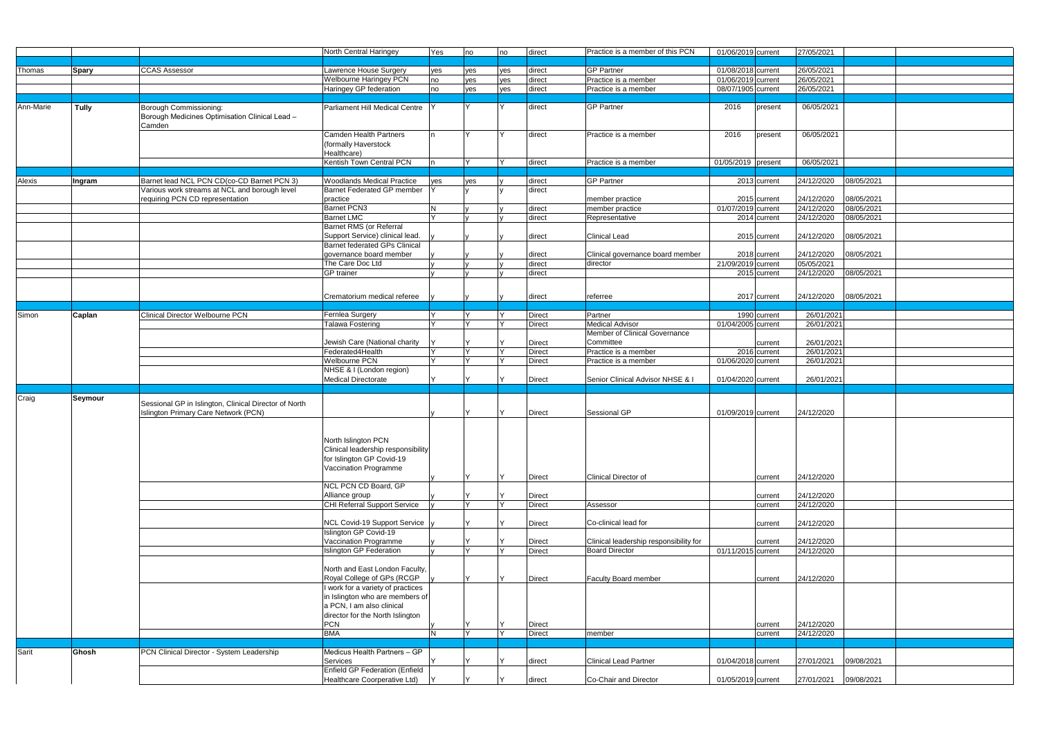|           |                |                                                       | North Central Haringey                                         | Yes                     | no           | no  | direct        | Practice is a member of this PCN       | 01/06/2019 current        | 27/05/2021 |            |  |
|-----------|----------------|-------------------------------------------------------|----------------------------------------------------------------|-------------------------|--------------|-----|---------------|----------------------------------------|---------------------------|------------|------------|--|
|           |                |                                                       |                                                                |                         |              |     |               |                                        |                           |            |            |  |
| Thomas    | <b>Spary</b>   | <b>CCAS Assessor</b>                                  | Lawrence House Surgery                                         | yes                     | yes          | ves | direct        | <b>GP Partner</b>                      | 01/08/2018 current        | 26/05/2021 |            |  |
|           |                |                                                       | <b>Welbourne Haringey PCN</b>                                  | no                      | yes          | yes | direct        | Practice is a member                   | 01/06/2019 current        | 26/05/2021 |            |  |
|           |                |                                                       | Haringey GP federation                                         | no                      | yes          | yes | direct        | Practice is a member                   | 08/07/1905 current        | 26/05/2021 |            |  |
|           |                |                                                       |                                                                |                         |              |     |               |                                        |                           |            |            |  |
| Ann-Marie | <b>Tully</b>   | Borough Commissioning:                                | Parliament Hill Medical Centre                                 |                         | $\vee$       |     | direct        | <b>GP Partner</b>                      | 2016<br>present           | 06/05/2021 |            |  |
|           |                | Borough Medicines Optimisation Clinical Lead -        |                                                                |                         |              |     |               |                                        |                           |            |            |  |
|           |                | Camden                                                |                                                                |                         |              |     |               |                                        |                           |            |            |  |
|           |                |                                                       | <b>Camden Health Partners</b>                                  |                         | <b>Y</b>     |     | direct        | Practice is a member                   | 2016<br>present           | 06/05/2021 |            |  |
|           |                |                                                       | (formally Haverstock                                           |                         |              |     |               |                                        |                           |            |            |  |
|           |                |                                                       | Healthcare)                                                    |                         |              |     |               |                                        |                           |            |            |  |
|           |                |                                                       | Kentish Town Central PCN                                       |                         |              |     | direct        | Practice is a member                   | 01/05/2019 present        | 06/05/2021 |            |  |
|           |                |                                                       |                                                                |                         |              |     |               |                                        |                           |            |            |  |
| Alexis    | Ingram         | Barnet lead NCL PCN CD(co-CD Barnet PCN 3)            | <b>Woodlands Medical Practice</b>                              | yes                     | yes          |     | direct        | <b>GP Partner</b>                      | $\overline{2013}$ current | 24/12/2020 | 08/05/2021 |  |
|           |                | Various work streams at NCL and borough level         | Barnet Federated GP member                                     |                         |              |     | direct        |                                        |                           |            |            |  |
|           |                | requiring PCN CD representation                       | practice                                                       |                         |              |     |               | member practice                        | 2015 current              | 24/12/2020 | 08/05/2021 |  |
|           |                |                                                       | Barnet PCN3                                                    | <b>N</b>                |              |     | direct        | member practice                        | 01/07/2019 current        | 24/12/2020 | 08/05/2021 |  |
|           |                |                                                       | <b>Barnet LMC</b>                                              |                         |              |     | direct        | Representative                         | 2014 current              | 24/12/2020 | 08/05/2021 |  |
|           |                |                                                       | <b>Barnet RMS</b> (or Referral                                 |                         |              |     |               |                                        |                           |            |            |  |
|           |                |                                                       | Support Service) clinical lead.                                |                         |              |     | direct        | <b>Clinical Lead</b>                   | 2015 current              | 24/12/2020 | 08/05/2021 |  |
|           |                |                                                       | <b>Barnet federated GPs Clinical</b>                           |                         |              |     |               |                                        |                           |            |            |  |
|           |                |                                                       | governance board member                                        |                         |              |     | direct        | Clinical governance board member       | 2018 current              | 24/12/2020 | 08/05/2021 |  |
|           |                |                                                       | The Care Doc Ltd                                               |                         |              |     | direct        | director                               | 21/09/2019 current        | 05/05/2021 |            |  |
|           |                |                                                       | <b>GP</b> trainer                                              |                         |              |     | direct        |                                        | 2015 current              | 24/12/2020 | 08/05/2021 |  |
|           |                |                                                       |                                                                |                         |              |     |               |                                        |                           |            |            |  |
|           |                |                                                       | Crematorium medical referee                                    |                         |              |     | direct        | referree                               | 2017 current              | 24/12/2020 | 08/05/2021 |  |
|           |                |                                                       |                                                                |                         |              |     |               |                                        |                           |            |            |  |
| Simon     | Caplan         | <b>Clinical Director Welbourne PCN</b>                | Fernlea Surgery                                                | IY.                     |              |     | <b>Direct</b> | Partner                                | 1990 current              | 26/01/2021 |            |  |
|           |                |                                                       | <b>Talawa Fostering</b>                                        | $\mathsf{I} \mathsf{Y}$ |              |     | Direct        | <b>Medical Advisor</b>                 | 01/04/2005 current        | 26/01/2021 |            |  |
|           |                |                                                       |                                                                |                         |              |     |               | Member of Clinical Governance          |                           |            |            |  |
|           |                |                                                       | Jewish Care (National charity                                  |                         |              |     | Direct        | Committee                              | current                   | 26/01/2021 |            |  |
|           |                |                                                       | Federated4Health                                               | IY.                     | l v          |     | Direct        | Practice is a member                   | 2016 current              | 26/01/2021 |            |  |
|           |                |                                                       | <b>Welbourne PCN</b>                                           | IY.                     |              |     | Direct        | Practice is a member                   | 01/06/2020 current        | 26/01/2021 |            |  |
|           |                |                                                       | NHSE & I (London region)                                       |                         |              |     |               |                                        |                           |            |            |  |
|           |                |                                                       | <b>Medical Directorate</b>                                     |                         |              |     | Direct        | Senior Clinical Advisor NHSE & I       | 01/04/2020 current        | 26/01/2021 |            |  |
|           |                |                                                       |                                                                |                         |              |     |               |                                        |                           |            |            |  |
|           |                |                                                       |                                                                |                         |              |     |               |                                        |                           |            |            |  |
| Craig     | <b>Seymour</b> |                                                       |                                                                |                         |              |     |               |                                        |                           |            |            |  |
|           |                | Sessional GP in Islington, Clinical Director of North |                                                                |                         |              |     |               |                                        |                           |            |            |  |
|           |                | Islington Primary Care Network (PCN)                  |                                                                |                         |              |     | <b>Direct</b> | Sessional GP                           | 01/09/2019 current        | 24/12/2020 |            |  |
|           |                |                                                       |                                                                |                         |              |     |               |                                        |                           |            |            |  |
|           |                |                                                       |                                                                |                         |              |     |               |                                        |                           |            |            |  |
|           |                |                                                       | North Islington PCN                                            |                         |              |     |               |                                        |                           |            |            |  |
|           |                |                                                       | Clinical leadership responsibility                             |                         |              |     |               |                                        |                           |            |            |  |
|           |                |                                                       | for Islington GP Covid-19<br>Vaccination Programme             |                         |              |     |               |                                        |                           |            |            |  |
|           |                |                                                       |                                                                |                         | $\checkmark$ |     | Direct        | Clinical Director of                   | current                   | 24/12/2020 |            |  |
|           |                |                                                       | NCL PCN CD Board, GP                                           |                         |              |     |               |                                        |                           |            |            |  |
|           |                |                                                       | Alliance group                                                 |                         |              |     | Direct        |                                        | current                   | 24/12/2020 |            |  |
|           |                |                                                       | <b>CHI Referral Support Service</b>                            |                         |              |     | Direct        | Assessor                               | current                   | 24/12/2020 |            |  |
|           |                |                                                       |                                                                |                         |              |     |               |                                        |                           |            |            |  |
|           |                |                                                       | NCL Covid-19 Support Service                                   |                         |              |     | Direct        | Co-clinical lead for                   | current                   | 24/12/2020 |            |  |
|           |                |                                                       | Islington GP Covid-19                                          |                         |              |     |               |                                        |                           |            |            |  |
|           |                |                                                       | Vaccination Programme                                          |                         |              |     | Direct        | Clinical leadership responsibility for | current                   | 24/12/2020 |            |  |
|           |                |                                                       | <b>Islington GP Federation</b>                                 |                         | $\vee$       |     | Direct        | <b>Board Director</b>                  | 01/11/2015 current        | 24/12/2020 |            |  |
|           |                |                                                       |                                                                |                         |              |     |               |                                        |                           |            |            |  |
|           |                |                                                       | North and East London Faculty,                                 |                         | v            |     |               |                                        |                           |            |            |  |
|           |                |                                                       | Royal College of GPs (RCGP                                     |                         |              |     | Direct        | Faculty Board member                   | current                   | 24/12/2020 |            |  |
|           |                |                                                       | I work for a variety of practices                              |                         |              |     |               |                                        |                           |            |            |  |
|           |                |                                                       | in Islington who are members of                                |                         |              |     |               |                                        |                           |            |            |  |
|           |                |                                                       | a PCN, I am also clinical                                      |                         |              |     |               |                                        |                           |            |            |  |
|           |                |                                                       | director for the North Islington<br><b>PCN</b>                 |                         |              |     | Direct        |                                        | current                   | 24/12/2020 |            |  |
|           |                |                                                       | <b>BMA</b>                                                     | $\overline{\mathsf{N}}$ | IY.          |     | Direct        | member                                 | current                   | 24/12/2020 |            |  |
|           |                |                                                       |                                                                |                         |              |     |               |                                        |                           |            |            |  |
| Sarit     | Ghosh          | PCN Clinical Director - System Leadership             | Medicus Health Partners - GP                                   |                         |              |     |               |                                        |                           |            |            |  |
|           |                |                                                       | Services                                                       |                         |              |     | direct        | <b>Clinical Lead Partner</b>           | 01/04/2018 current        | 27/01/2021 | 09/08/2021 |  |
|           |                |                                                       | Enfield GP Federation (Enfield<br>Healthcare Coorperative Ltd) |                         | v            |     | direct        | Co-Chair and Director                  | 01/05/2019 current        | 27/01/2021 | 09/08/2021 |  |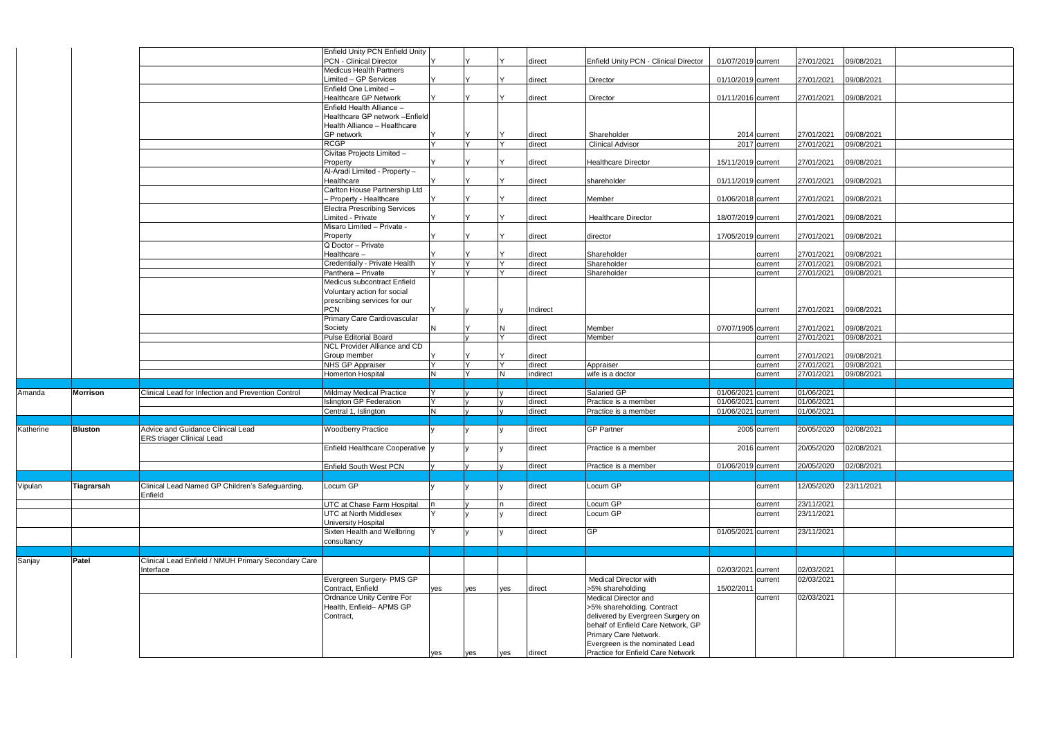|           |                |                                                     | <b>Enfield Unity PCN Enfield Unity</b> |     |        |     |          |                                       |                           |            |                       |
|-----------|----------------|-----------------------------------------------------|----------------------------------------|-----|--------|-----|----------|---------------------------------------|---------------------------|------------|-----------------------|
|           |                |                                                     | <b>PCN - Clinical Director</b>         |     |        |     | direct   | Enfield Unity PCN - Clinical Director | 01/07/2019 current        | 27/01/2021 | 09/08/2021            |
|           |                |                                                     | <b>Medicus Health Partners</b>         |     |        |     |          |                                       |                           |            |                       |
|           |                |                                                     | Limited - GP Services                  |     |        |     | direct   | Director                              | 01/10/2019 current        | 27/01/2021 | 09/08/2021            |
|           |                |                                                     | Enfield One Limited -                  |     |        |     |          |                                       |                           |            |                       |
|           |                |                                                     | <b>Healthcare GP Network</b>           |     |        |     | direct   | Director                              | 01/11/2016 current        | 27/01/2021 | 09/08/2021            |
|           |                |                                                     | Enfield Health Alliance -              |     |        |     |          |                                       |                           |            |                       |
|           |                |                                                     | Healthcare GP network - Enfield        |     |        |     |          |                                       |                           |            |                       |
|           |                |                                                     | Health Alliance - Healthcare           |     |        |     |          |                                       |                           |            |                       |
|           |                |                                                     | GP network                             |     |        |     | direct   | Shareholder                           | 2014 current              | 27/01/2021 | 09/08/2021            |
|           |                |                                                     | <b>RCGP</b>                            |     | Y      | IY  | direct   | <b>Clinical Advisor</b>               | 2017 current              | 27/01/2021 | 09/08/2021            |
|           |                |                                                     | Civitas Projects Limited -             |     |        |     |          |                                       |                           |            |                       |
|           |                |                                                     | Property                               |     |        |     | direct   | <b>Healthcare Director</b>            | 15/11/2019 current        | 27/01/2021 | 09/08/2021            |
|           |                |                                                     | Al-Aradi Limited - Property -          |     |        |     |          |                                       |                           |            |                       |
|           |                |                                                     | Healthcare                             |     |        |     | direct   | shareholder                           | 01/11/2019 current        | 27/01/2021 | 09/08/2021            |
|           |                |                                                     | Carlton House Partnership Ltd          |     |        |     |          |                                       |                           |            |                       |
|           |                |                                                     | - Property - Healthcare                |     |        |     | direct   | Member                                | 01/06/2018 current        | 27/01/2021 | 09/08/2021            |
|           |                |                                                     | <b>Electra Prescribing Services</b>    |     |        |     |          |                                       |                           |            |                       |
|           |                |                                                     | Limited - Private                      |     |        |     | direct   | <b>Healthcare Director</b>            | 18/07/2019 current        | 27/01/2021 | 09/08/2021            |
|           |                |                                                     | Misaro Limited - Private -             |     |        |     |          |                                       |                           |            |                       |
|           |                |                                                     | Property                               |     |        |     | direct   | director                              | 17/05/2019 current        | 27/01/2021 | 09/08/2021            |
|           |                |                                                     | Q Doctor - Private                     |     |        |     |          |                                       |                           |            |                       |
|           |                |                                                     | Healthcare-                            |     |        |     | direct   | Shareholder                           | current                   | 27/01/2021 | 09/08/2021            |
|           |                |                                                     | Credentially - Private Health          |     | Y      | lΥ  | direct   | Shareholder                           | current                   | 27/01/2021 | 09/08/2021            |
|           |                |                                                     | Panthera - Private                     |     | $\vee$ |     | direct   | Shareholder                           | current                   | 27/01/2021 | 09/08/2021            |
|           |                |                                                     | Medicus subcontract Enfield            |     |        |     |          |                                       |                           |            |                       |
|           |                |                                                     | Voluntary action for social            |     |        |     |          |                                       |                           |            |                       |
|           |                |                                                     | prescribing services for our           |     |        |     |          |                                       |                           |            |                       |
|           |                |                                                     | <b>PCN</b>                             |     |        |     | Indirect |                                       | current                   | 27/01/2021 | 09/08/2021            |
|           |                |                                                     | Primary Care Cardiovascular            |     |        |     |          |                                       |                           |            |                       |
|           |                |                                                     | Society                                |     |        | IN  | direct   | Member                                | 07/07/1905 current        | 27/01/2021 | 09/08/2021            |
|           |                |                                                     | <b>Pulse Editorial Board</b>           |     |        | Ιv  | direct   | Member                                | current                   | 27/01/2021 | 09/08/2021            |
|           |                |                                                     | <b>NCL Provider Alliance and CD</b>    |     |        |     |          |                                       |                           |            |                       |
|           |                |                                                     | Group member                           |     |        |     | direct   |                                       | current                   | 27/01/2021 | 09/08/2021            |
|           |                |                                                     | <b>NHS GP Appraiser</b>                |     | Y      | İΥ  | direct   | Appraiser                             | current                   | 27/01/2021 | 09/08/2021            |
|           |                |                                                     | <b>Homerton Hospital</b>               |     | $\vee$ | İΝ  | indirect | wife is a doctor                      | current                   | 27/01/2021 | 09/08/2021            |
|           |                |                                                     |                                        |     |        |     |          |                                       |                           |            |                       |
| Amanda    | Morrison       | Clinical Lead for Infection and Prevention Control  | Mildmay Medical Practice               |     |        |     | direct   | Salaried GP                           | 01/06/2021 current        | 01/06/2021 |                       |
|           |                |                                                     | <b>Islington GP Federation</b>         |     |        |     | direct   | Practice is a member                  | 01/06/2021 current        | 01/06/2021 |                       |
|           |                |                                                     | Central 1, Islington                   | N   |        |     | direct   | Practice is a member                  | 01/06/2021 current        | 01/06/2021 |                       |
|           |                |                                                     |                                        |     |        |     |          |                                       |                           |            |                       |
| Katherine | <b>Bluston</b> | Advice and Guidance Clinical Lead                   | <b>Woodberry Practice</b>              |     |        |     | direct   | <b>GP Partner</b>                     | $\overline{2005}$ current |            | 20/05/2020 02/08/2021 |
|           |                | <b>ERS triager Clinical Lead</b>                    |                                        |     |        |     |          |                                       |                           |            |                       |
|           |                |                                                     | Enfield Healthcare Cooperative y       |     |        |     | direct   | Practice is a member                  | 2016 current              | 20/05/2020 | 02/08/2021            |
|           |                |                                                     |                                        |     |        |     |          |                                       |                           |            |                       |
|           |                |                                                     | Enfield South West PCN                 |     |        |     | direct   | Practice is a member                  | 01/06/2019 current        | 20/05/2020 | 02/08/2021            |
|           |                |                                                     |                                        |     |        |     |          |                                       |                           |            |                       |
| Vipulan   | Tiagrarsah     | Clinical Lead Named GP Children's Safeguarding,     | Locum GP                               |     |        |     | direct   | Locum GP                              | current                   | 12/05/2020 | 23/11/2021            |
|           |                | Enfield                                             |                                        |     |        |     |          |                                       |                           |            |                       |
|           |                |                                                     | UTC at Chase Farm Hospital             |     |        | In  | direct   | Locum GP                              | current                   | 23/11/2021 |                       |
|           |                |                                                     | <b>UTC at North Middlesex</b>          |     |        |     | direct   | Locum GP                              | current                   | 23/11/2021 |                       |
|           |                |                                                     | <b>University Hospital</b>             |     |        |     |          |                                       |                           |            |                       |
|           |                |                                                     | Sixten Health and Wellbring            |     |        |     | direct   | GP                                    | 01/05/2021 current        | 23/11/2021 |                       |
|           |                |                                                     | consultancy                            |     |        |     |          |                                       |                           |            |                       |
|           |                |                                                     |                                        |     |        |     |          |                                       |                           |            |                       |
| Sanjay    | Patel          | Clinical Lead Enfield / NMUH Primary Secondary Care |                                        |     |        |     |          |                                       |                           |            |                       |
|           |                | Interface                                           |                                        |     |        |     |          |                                       | 02/03/2021 current        | 02/03/2021 |                       |
|           |                |                                                     | Evergreen Surgery- PMS GP              |     |        |     |          | <b>Medical Director with</b>          | current                   | 02/03/2021 |                       |
|           |                |                                                     | Contract, Enfield                      | ves | yes    | ves | direct   | >5% shareholding                      | 15/02/2011                |            |                       |
|           |                |                                                     | Ordnance Unity Centre For              |     |        |     |          | Medical Director and                  | current                   | 02/03/2021 |                       |
|           |                |                                                     | Health, Enfield- APMS GP               |     |        |     |          | >5% shareholding. Contract            |                           |            |                       |
|           |                |                                                     | Contract,                              |     |        |     |          | delivered by Evergreen Surgery on     |                           |            |                       |
|           |                |                                                     |                                        |     |        |     |          | behalf of Enfield Care Network, GP    |                           |            |                       |
|           |                |                                                     |                                        |     |        |     |          | Primary Care Network.                 |                           |            |                       |
|           |                |                                                     |                                        |     |        |     |          | Evergreen is the nominated Lead       |                           |            |                       |
|           |                |                                                     |                                        | yes | yes    | yes | direct   | Practice for Enfield Care Network     |                           |            |                       |
|           |                |                                                     |                                        |     |        |     |          |                                       |                           |            |                       |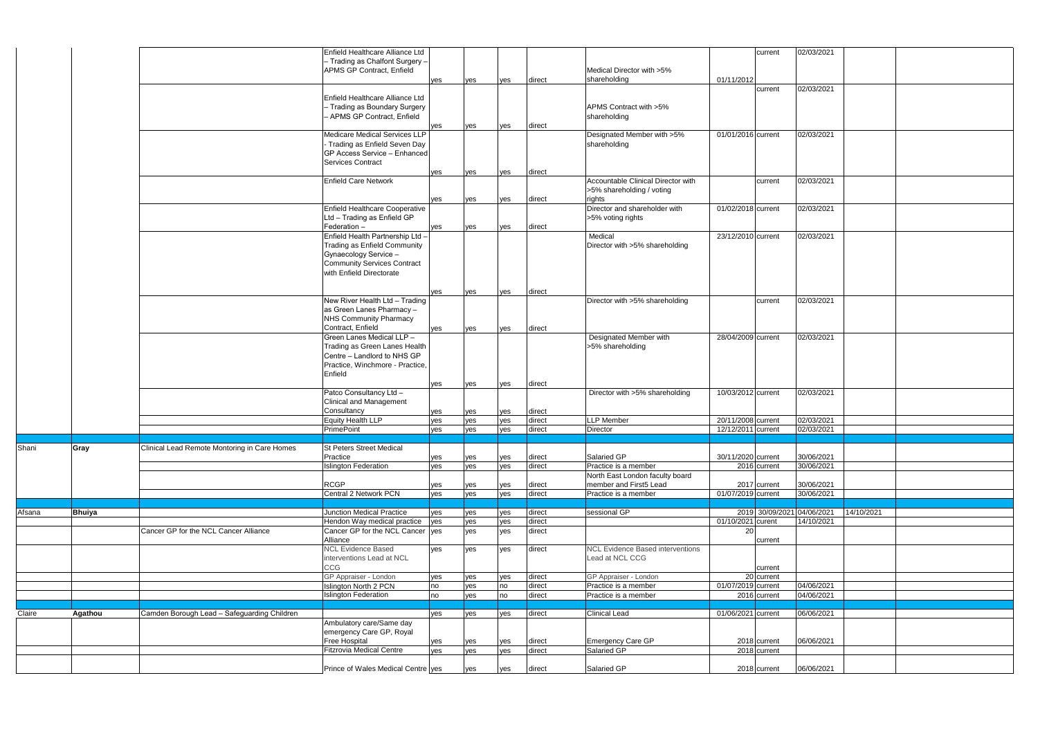|        |               |                                              | Enfield Healthcare Alliance Ltd    |            |            |            |                  |                                         |                    | current                      | 02/03/2021                 |            |
|--------|---------------|----------------------------------------------|------------------------------------|------------|------------|------------|------------------|-----------------------------------------|--------------------|------------------------------|----------------------------|------------|
|        |               |                                              | – Trading as Chalfont Surgery –    |            |            |            |                  |                                         |                    |                              |                            |            |
|        |               |                                              | <b>APMS GP Contract, Enfield</b>   |            |            |            |                  | Medical Director with >5%               |                    |                              |                            |            |
|        |               |                                              |                                    | yes        | yes        | yes        | direct           | shareholding                            | 01/11/2012         |                              |                            |            |
|        |               |                                              |                                    |            |            |            |                  |                                         |                    | current                      | 02/03/2021                 |            |
|        |               |                                              | Enfield Healthcare Alliance Ltd    |            |            |            |                  |                                         |                    |                              |                            |            |
|        |               |                                              | - Trading as Boundary Surgery      |            |            |            |                  | APMS Contract with >5%                  |                    |                              |                            |            |
|        |               |                                              | APMS GP Contract, Enfield          |            |            |            |                  | shareholding                            |                    |                              |                            |            |
|        |               |                                              |                                    | yes        | yes        | yes        | direct           |                                         |                    |                              |                            |            |
|        |               |                                              | Medicare Medical Services LLP      |            |            |            |                  | Designated Member with >5%              | 01/01/2016 current |                              | 02/03/2021                 |            |
|        |               |                                              | Trading as Enfield Seven Day       |            |            |            |                  | shareholding                            |                    |                              |                            |            |
|        |               |                                              | GP Access Service - Enhanced       |            |            |            |                  |                                         |                    |                              |                            |            |
|        |               |                                              | Services Contract                  |            |            |            |                  |                                         |                    |                              |                            |            |
|        |               |                                              |                                    | yes        | yes        | yes        | direct           |                                         |                    |                              |                            |            |
|        |               |                                              | <b>Enfield Care Network</b>        |            |            |            |                  | Accountable Clinical Director with      |                    | current                      | 02/03/2021                 |            |
|        |               |                                              |                                    |            |            |            |                  | >5% shareholding / voting               |                    |                              |                            |            |
|        |               |                                              |                                    | yes        | yes        | yes        | direct           | rights                                  |                    |                              |                            |            |
|        |               |                                              | Enfield Healthcare Cooperative     |            |            |            |                  | Director and shareholder with           | 01/02/2018 current |                              | 02/03/2021                 |            |
|        |               |                                              | Ltd - Trading as Enfield GP        |            |            |            |                  | >5% voting rights                       |                    |                              |                            |            |
|        |               |                                              | Federation -                       | yes        | yes        | ves        | direct           |                                         |                    |                              |                            |            |
|        |               |                                              | Enfield Health Partnership Ltd -   |            |            |            |                  | Medical                                 | 23/12/2010 current |                              | 02/03/2021                 |            |
|        |               |                                              | Trading as Enfield Community       |            |            |            |                  | Director with >5% shareholding          |                    |                              |                            |            |
|        |               |                                              | Gynaecology Service -              |            |            |            |                  |                                         |                    |                              |                            |            |
|        |               |                                              | <b>Community Services Contract</b> |            |            |            |                  |                                         |                    |                              |                            |            |
|        |               |                                              | with Enfield Directorate           |            |            |            |                  |                                         |                    |                              |                            |            |
|        |               |                                              |                                    |            |            |            |                  |                                         |                    |                              |                            |            |
|        |               |                                              |                                    |            |            |            |                  |                                         |                    |                              |                            |            |
|        |               |                                              |                                    | ves        | yes        | yes        | direct           |                                         |                    |                              |                            |            |
|        |               |                                              | New River Health Ltd - Trading     |            |            |            |                  | Director with >5% shareholding          |                    | current                      | 02/03/2021                 |            |
|        |               |                                              | as Green Lanes Pharmacy -          |            |            |            |                  |                                         |                    |                              |                            |            |
|        |               |                                              | NHS Community Pharmacy             |            |            |            |                  |                                         |                    |                              |                            |            |
|        |               |                                              | Contract, Enfield                  | yes        | yes        | yes        | direct           |                                         |                    |                              |                            |            |
|        |               |                                              | Green Lanes Medical LLP -          |            |            |            |                  | Designated Member with                  | 28/04/2009 current |                              | 02/03/2021                 |            |
|        |               |                                              | Trading as Green Lanes Health      |            |            |            |                  | >5% shareholding                        |                    |                              |                            |            |
|        |               |                                              | Centre - Landlord to NHS GP        |            |            |            |                  |                                         |                    |                              |                            |            |
|        |               |                                              | Practice, Winchmore - Practice,    |            |            |            |                  |                                         |                    |                              |                            |            |
|        |               |                                              | Enfield                            |            |            |            |                  |                                         |                    |                              |                            |            |
|        |               |                                              |                                    | yes        | yes        | yes        | direct           |                                         |                    |                              |                            |            |
|        |               |                                              | Patco Consultancy Ltd -            |            |            |            |                  | Director with >5% shareholding          | 10/03/2012 current |                              | 02/03/2021                 |            |
|        |               |                                              | Clinical and Management            |            |            |            |                  |                                         |                    |                              |                            |            |
|        |               |                                              | Consultancy                        | yes        | yes        | yes        | direct           |                                         |                    |                              |                            |            |
|        |               |                                              | Equity Health LLP                  | yes        | yes        | yes        | direct           | <b>LLP</b> Member                       | 20/11/2008 current |                              | 02/03/2021                 |            |
|        |               |                                              | PrimePoint                         | yes        | yes        | yes        | direct           | Director                                | 12/12/2011 current |                              | 02/03/2021                 |            |
|        |               |                                              |                                    |            |            |            |                  |                                         |                    |                              |                            |            |
| Shani  | Gray          | Clinical Lead Remote Montoring in Care Homes | St Peters Street Medical           |            |            |            |                  |                                         |                    |                              |                            |            |
|        |               |                                              | Practice                           | yes        | yes        | yes        | direct           | Salaried GP                             | 30/11/2020 current |                              | 30/06/2021                 |            |
|        |               |                                              | <b>Islington Federation</b>        | yes        | yes        | yes        | direct           | Practice is a member                    |                    | 2016 current                 | 30/06/2021                 |            |
|        |               |                                              |                                    |            |            |            |                  | North East London faculty board         |                    |                              |                            |            |
|        |               |                                              | <b>RCGP</b>                        | yes        | yes        | yes        | direct           | member and First5 Lead                  |                    | 2017 current                 | 30/06/2021                 |            |
|        |               |                                              | Central 2 Network PCN              | yes        | yes        | yes        | direct           | Practice is a member                    | 01/07/2019 current |                              | 30/06/2021                 |            |
|        |               |                                              |                                    |            |            |            |                  |                                         |                    |                              |                            |            |
| Afsana | <b>Bhuiya</b> |                                              | <b>Junction Medical Practice</b>   | yes        | yes        | yes        | direct           | sessional GP                            |                    |                              | 2019 30/09/2021 04/06/2021 | 14/10/2021 |
|        |               |                                              | Hendon Way medical practice        | yes        | yes        | yes        | direct           |                                         | 01/10/2021 curent  |                              | 14/10/2021                 |            |
|        |               | Cancer GP for the NCL Cancer Alliance        | Cancer GP for the NCL Cancer yes   |            | yes        | yes        | direct           |                                         | 20 <sub>1</sub>    |                              |                            |            |
|        |               |                                              | Alliance                           |            |            |            |                  |                                         |                    | current                      |                            |            |
|        |               |                                              | <b>NCL Evidence Based</b>          | yes        | yes        | yes        | direct           | <b>NCL Evidence Based interventions</b> |                    |                              |                            |            |
|        |               |                                              | interventions Lead at NCL          |            |            |            |                  | Lead at NCL CCG                         |                    |                              |                            |            |
|        |               |                                              | CCG                                |            |            |            |                  |                                         |                    | current                      |                            |            |
|        |               |                                              | GP Appraiser - London              | yes        | yes        | yes        | direct           | GP Appraiser - London                   |                    | 20 current                   |                            |            |
|        |               |                                              | <b>Islington North 2 PCN</b>       | no         | yes        | no         | direct           | Practice is a member                    | 01/07/2019 current |                              | 04/06/2021                 |            |
|        |               |                                              | <b>Islington Federation</b>        | no         | yes        | no         | direct           | Practice is a member                    |                    | 2016 current                 | 04/06/2021                 |            |
|        |               |                                              |                                    |            |            |            | direct           |                                         |                    |                              |                            |            |
| Claire | Agathou       | Camden Borough Lead - Safeguarding Children  | Ambulatory care/Same day           | yes        | yes        | yes        |                  | <b>Clinical Lead</b>                    | 01/06/2021 current |                              | 06/06/2021                 |            |
|        |               |                                              | emergency Care GP, Royal           |            |            |            |                  |                                         |                    |                              |                            |            |
|        |               |                                              | Free Hospital                      |            |            |            |                  |                                         |                    |                              | 06/06/2021                 |            |
|        |               |                                              | <b>Fitzrovia Medical Centre</b>    | yes<br>yes | yes<br>yes | yes<br>yes | direct<br>direct | Emergency Care GP<br>Salaried GP        |                    | 2018 current<br>2018 current |                            |            |
|        |               |                                              |                                    |            |            |            |                  |                                         |                    |                              |                            |            |
|        |               |                                              | Prince of Wales Medical Centre yes |            | ves        | ves        | direct           | Salaried GP                             |                    | 2018 current                 | 06/06/2021                 |            |
|        |               |                                              |                                    |            |            |            |                  |                                         |                    |                              |                            |            |